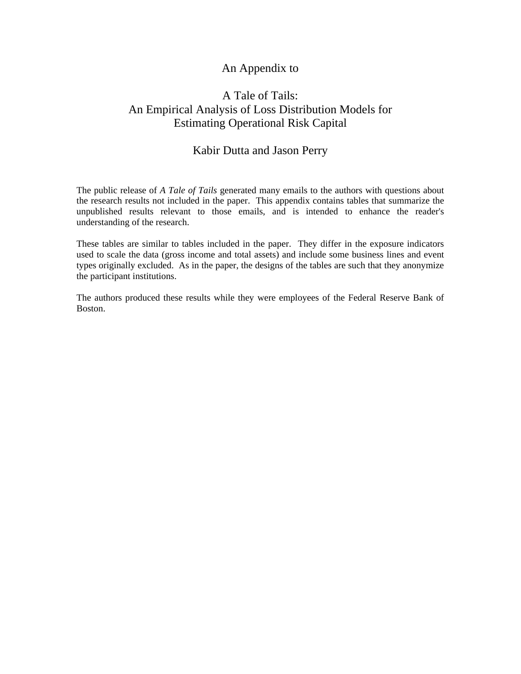## An Appendix to

## A Tale of Tails: An Empirical Analysis of Loss Distribution Models for Estimating Operational Risk Capital

## Kabir Dutta and Jason Perry

The public release of *A Tale of Tails* generated many emails to the authors with questions about the research results not included in the paper. This appendix contains tables that summarize the unpublished results relevant to those emails, and is intended to enhance the reader's understanding of the research.

These tables are similar to tables included in the paper. They differ in the exposure indicators used to scale the data (gross income and total assets) and include some business lines and event types originally excluded. As in the paper, the designs of the tables are such that they anonymize the participant institutions.

The authors produced these results while they were employees of the Federal Reserve Bank of Boston.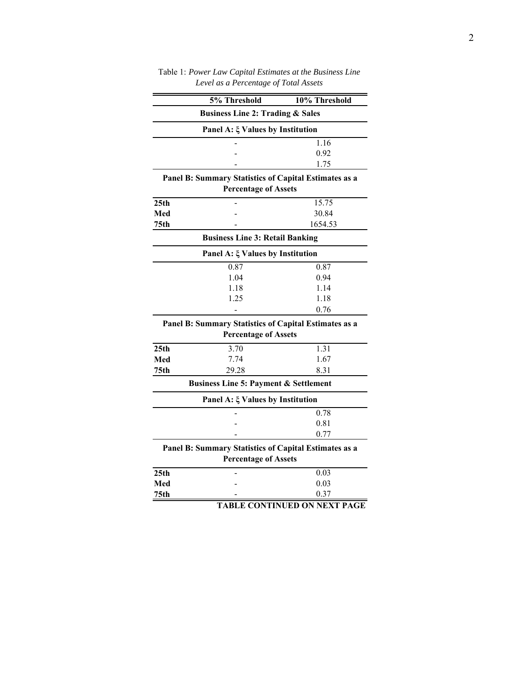|                  | 5% Threshold                                          | 10% Threshold                       |  |  |  |  |  |  |  |
|------------------|-------------------------------------------------------|-------------------------------------|--|--|--|--|--|--|--|
|                  | <b>Business Line 2: Trading &amp; Sales</b>           |                                     |  |  |  |  |  |  |  |
|                  | Panel A: $\xi$ Values by Institution                  |                                     |  |  |  |  |  |  |  |
|                  |                                                       | 1.16                                |  |  |  |  |  |  |  |
|                  |                                                       | 0.92                                |  |  |  |  |  |  |  |
|                  |                                                       | 1.75                                |  |  |  |  |  |  |  |
|                  | Panel B: Summary Statistics of Capital Estimates as a |                                     |  |  |  |  |  |  |  |
|                  | <b>Percentage of Assets</b>                           |                                     |  |  |  |  |  |  |  |
| 25 <sub>th</sub> |                                                       | 15.75                               |  |  |  |  |  |  |  |
| Med              |                                                       | 30.84                               |  |  |  |  |  |  |  |
| 75 <sub>th</sub> |                                                       | 1654.53                             |  |  |  |  |  |  |  |
|                  | <b>Business Line 3: Retail Banking</b>                |                                     |  |  |  |  |  |  |  |
|                  | Panel A: $\xi$ Values by Institution                  |                                     |  |  |  |  |  |  |  |
|                  | 0.87                                                  | 0.87                                |  |  |  |  |  |  |  |
|                  | 1.04                                                  | 0.94                                |  |  |  |  |  |  |  |
|                  | 1.18                                                  | 1.14                                |  |  |  |  |  |  |  |
|                  | 1.25                                                  | 1.18                                |  |  |  |  |  |  |  |
|                  |                                                       | 0.76                                |  |  |  |  |  |  |  |
|                  | Panel B: Summary Statistics of Capital Estimates as a |                                     |  |  |  |  |  |  |  |
|                  | <b>Percentage of Assets</b>                           |                                     |  |  |  |  |  |  |  |
| 25th             | 3.70                                                  | 1.31                                |  |  |  |  |  |  |  |
| Med              | 7.74                                                  | 1.67                                |  |  |  |  |  |  |  |
| 75 <sub>th</sub> | 29.28                                                 | 8.31                                |  |  |  |  |  |  |  |
|                  | <b>Business Line 5: Payment &amp; Settlement</b>      |                                     |  |  |  |  |  |  |  |
|                  | Panel A: $\xi$ Values by Institution                  |                                     |  |  |  |  |  |  |  |
|                  |                                                       | 0.78                                |  |  |  |  |  |  |  |
|                  |                                                       | 0.81                                |  |  |  |  |  |  |  |
|                  |                                                       | 0.77                                |  |  |  |  |  |  |  |
|                  | Panel B: Summary Statistics of Capital Estimates as a |                                     |  |  |  |  |  |  |  |
|                  | <b>Percentage of Assets</b>                           |                                     |  |  |  |  |  |  |  |
| 25 <sub>th</sub> |                                                       | 0.03                                |  |  |  |  |  |  |  |
| Med              |                                                       | 0.03                                |  |  |  |  |  |  |  |
| 75th             |                                                       | 0.37                                |  |  |  |  |  |  |  |
|                  |                                                       | <b>TABLE CONTINUED ON NEXT PAGE</b> |  |  |  |  |  |  |  |

Table 1: *Power Law Capital Estimates at the Business Line Level as a Percentage of Total Assets*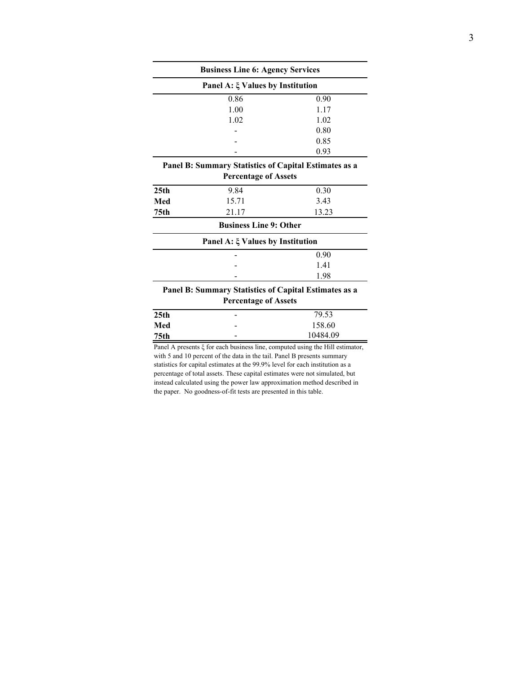| <b>Business Line 6: Agency Services</b> |                                                       |        |  |  |  |  |  |  |
|-----------------------------------------|-------------------------------------------------------|--------|--|--|--|--|--|--|
| Panel A: $\xi$ Values by Institution    |                                                       |        |  |  |  |  |  |  |
|                                         | 0.86                                                  | 0.90   |  |  |  |  |  |  |
|                                         | 1.00                                                  | 1.17   |  |  |  |  |  |  |
|                                         | 1.02                                                  | 1.02   |  |  |  |  |  |  |
|                                         |                                                       | 0.80   |  |  |  |  |  |  |
|                                         |                                                       | 0.85   |  |  |  |  |  |  |
|                                         |                                                       | 0.93   |  |  |  |  |  |  |
|                                         | Panel B: Summary Statistics of Capital Estimates as a |        |  |  |  |  |  |  |
|                                         | <b>Percentage of Assets</b>                           |        |  |  |  |  |  |  |
| 25 <sub>th</sub>                        | 9.84                                                  | 0.30   |  |  |  |  |  |  |
| Med                                     | 15.71                                                 | 3.43   |  |  |  |  |  |  |
| 75th                                    | 21.17                                                 | 13.23  |  |  |  |  |  |  |
|                                         | <b>Business Line 9: Other</b>                         |        |  |  |  |  |  |  |
|                                         | Panel A: ξ Values by Institution                      |        |  |  |  |  |  |  |
|                                         |                                                       | 0.90   |  |  |  |  |  |  |
|                                         |                                                       | 1.41   |  |  |  |  |  |  |
|                                         |                                                       | 1.98   |  |  |  |  |  |  |
|                                         | Panel B: Summary Statistics of Capital Estimates as a |        |  |  |  |  |  |  |
|                                         | <b>Percentage of Assets</b>                           |        |  |  |  |  |  |  |
| 25 <sub>th</sub>                        |                                                       | 79.53  |  |  |  |  |  |  |
| Med                                     |                                                       | 158.60 |  |  |  |  |  |  |

**75th** - 10484.09 Panel A presents ξ for each business line, computed using the Hill estimator, with 5 and 10 percent of the data in the tail. Panel B presents summary statistics for capital estimates at the 99.9% level for each institution as a

percentage of total assets. These capital estimates were not simulated, but instead calculated using the power law approximation method described in the paper. No goodness-of-fit tests are presented in this table.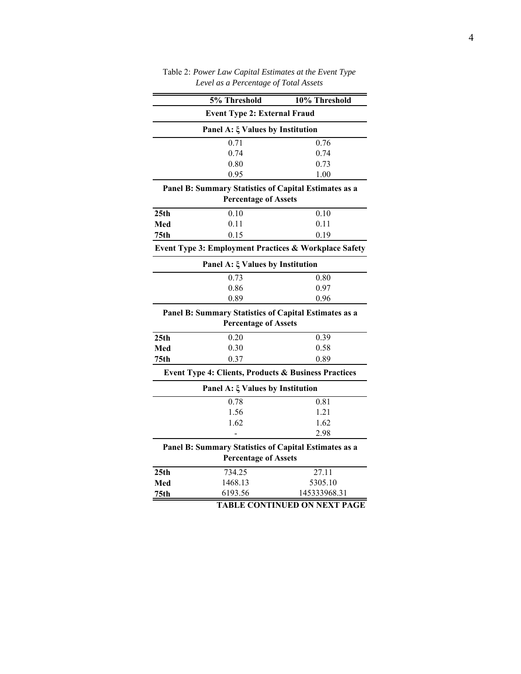|                                                       | 5% Threshold                                                    | 10% Threshold                       |  |  |  |  |  |  |  |
|-------------------------------------------------------|-----------------------------------------------------------------|-------------------------------------|--|--|--|--|--|--|--|
|                                                       | <b>Event Type 2: External Fraud</b>                             |                                     |  |  |  |  |  |  |  |
| Panel A: $\xi$ Values by Institution                  |                                                                 |                                     |  |  |  |  |  |  |  |
|                                                       | 0.71                                                            | 0.76                                |  |  |  |  |  |  |  |
|                                                       | 0.74                                                            | 0.74                                |  |  |  |  |  |  |  |
|                                                       | 0.80                                                            | 0.73                                |  |  |  |  |  |  |  |
|                                                       | 0.95                                                            | 1.00                                |  |  |  |  |  |  |  |
| Panel B: Summary Statistics of Capital Estimates as a |                                                                 |                                     |  |  |  |  |  |  |  |
|                                                       | <b>Percentage of Assets</b>                                     |                                     |  |  |  |  |  |  |  |
| 25th                                                  | 0.10                                                            | 0.10                                |  |  |  |  |  |  |  |
| Med                                                   | 0.11                                                            | 0.11                                |  |  |  |  |  |  |  |
| 75 <sub>th</sub>                                      | 0.15                                                            | 0.19                                |  |  |  |  |  |  |  |
| Event Type 3: Employment Practices & Workplace Safety |                                                                 |                                     |  |  |  |  |  |  |  |
| Panel A: $\xi$ Values by Institution                  |                                                                 |                                     |  |  |  |  |  |  |  |
|                                                       | 0.73                                                            | 0.80                                |  |  |  |  |  |  |  |
|                                                       | 0.86                                                            | 0.97                                |  |  |  |  |  |  |  |
|                                                       | 0.89                                                            | 0.96                                |  |  |  |  |  |  |  |
| Panel B: Summary Statistics of Capital Estimates as a |                                                                 |                                     |  |  |  |  |  |  |  |
|                                                       | <b>Percentage of Assets</b>                                     |                                     |  |  |  |  |  |  |  |
| 25 <sub>th</sub>                                      | 0.20                                                            | 0.39                                |  |  |  |  |  |  |  |
| Med                                                   | 0.30                                                            | 0.58                                |  |  |  |  |  |  |  |
| 75th                                                  | 0.37                                                            | 0.89                                |  |  |  |  |  |  |  |
|                                                       | <b>Event Type 4: Clients, Products &amp; Business Practices</b> |                                     |  |  |  |  |  |  |  |
|                                                       | Panel A: $\xi$ Values by Institution                            |                                     |  |  |  |  |  |  |  |
|                                                       | 0.78                                                            | 0.81                                |  |  |  |  |  |  |  |
|                                                       | 1.56                                                            | 1.21                                |  |  |  |  |  |  |  |
|                                                       | 1.62                                                            | 1.62                                |  |  |  |  |  |  |  |
|                                                       |                                                                 | 2.98                                |  |  |  |  |  |  |  |
|                                                       | Panel B: Summary Statistics of Capital Estimates as a           |                                     |  |  |  |  |  |  |  |
|                                                       | <b>Percentage of Assets</b>                                     |                                     |  |  |  |  |  |  |  |
| 25th                                                  | 734.25                                                          | 27.11                               |  |  |  |  |  |  |  |
| Med                                                   | 1468.13                                                         | 5305.10                             |  |  |  |  |  |  |  |
| 75th                                                  | 6193.56                                                         | 145333968.31                        |  |  |  |  |  |  |  |
|                                                       |                                                                 | <b>TABLE CONTINUED ON NEXT PAGE</b> |  |  |  |  |  |  |  |

Table 2: *Power Law Capital Estimates at the Event Type Level as a Percentage of Total Assets*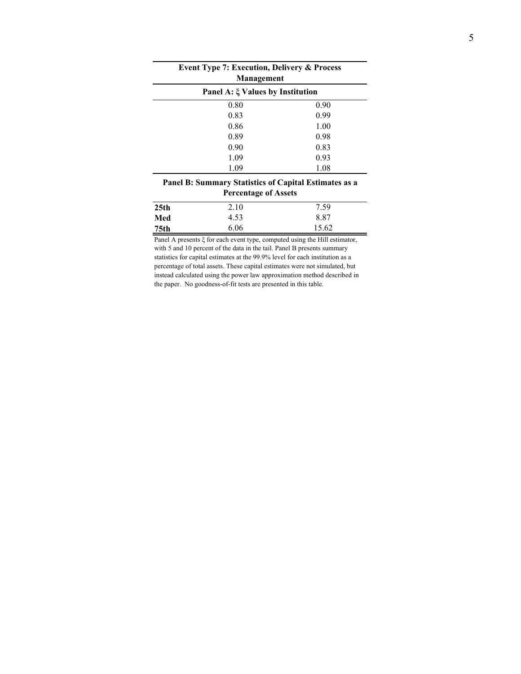| <b>Event Type 7: Execution, Delivery &amp; Process</b><br>Management |      |  |  |  |  |  |  |  |
|----------------------------------------------------------------------|------|--|--|--|--|--|--|--|
| Panel A: $\xi$ Values by Institution                                 |      |  |  |  |  |  |  |  |
| 0.80                                                                 | 0.90 |  |  |  |  |  |  |  |
| 0.83                                                                 | 0.99 |  |  |  |  |  |  |  |
| 0.86                                                                 | 1.00 |  |  |  |  |  |  |  |
| 0.89                                                                 | 0.98 |  |  |  |  |  |  |  |
| 0.90                                                                 | 0.83 |  |  |  |  |  |  |  |
| 1.09                                                                 | 0.93 |  |  |  |  |  |  |  |
| 1.09                                                                 | 1.08 |  |  |  |  |  |  |  |
| Panel B: Summary Statistics of Capital Estimates as a                |      |  |  |  |  |  |  |  |

÷,

l, Î.

l,

**Percentage of Assets**

| 25 <sub>th</sub> | 2.10 | 7.59  |
|------------------|------|-------|
| Med              | 4.53 | 8.87  |
| 75th             | 6.06 | 15.62 |

Panel A presents ξ for each event type, computed using the Hill estimator, with 5 and 10 percent of the data in the tail. Panel B presents summary statistics for capital estimates at the 99.9% level for each institution as a percentage of total assets. These capital estimates were not simulated, but instead calculated using the power law approximation method described in the paper. No goodness-of-fit tests are presented in this table.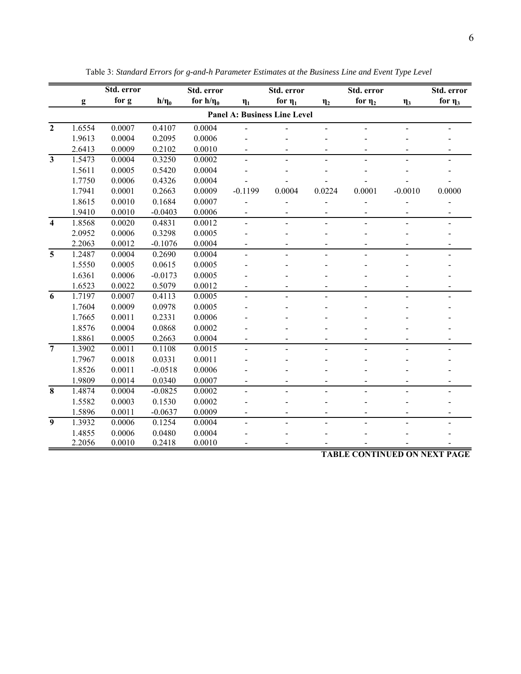|                         | g                                   | for g  | $h/\eta_0$ |                |                          |                          |                | Std. error                |           | Std. error                                 |  |  |  |  |
|-------------------------|-------------------------------------|--------|------------|----------------|--------------------------|--------------------------|----------------|---------------------------|-----------|--------------------------------------------|--|--|--|--|
|                         |                                     |        |            | for $h/\eta_0$ | $\eta_1$                 | for $\eta_1$             | $\eta_2$       | for $\eta_2$              | $\eta_3$  | for $\eta_3$                               |  |  |  |  |
|                         | <b>Panel A: Business Line Level</b> |        |            |                |                          |                          |                |                           |           |                                            |  |  |  |  |
| $\overline{2}$          | 1.6554                              | 0.0007 | 0.4107     | 0.0004         |                          |                          |                |                           |           |                                            |  |  |  |  |
|                         | 1.9613                              | 0.0004 | 0.2095     | 0.0006         |                          |                          |                |                           |           |                                            |  |  |  |  |
|                         | 2.6413                              | 0.0009 | 0.2102     | 0.0010         |                          |                          |                |                           |           |                                            |  |  |  |  |
| $\mathbf{3}$            | 1.5473                              | 0.0004 | 0.3250     | 0.0002         |                          |                          |                |                           |           |                                            |  |  |  |  |
|                         | 1.5611                              | 0.0005 | 0.5420     | 0.0004         |                          |                          |                |                           |           |                                            |  |  |  |  |
|                         | 1.7750                              | 0.0006 | 0.4326     | 0.0004         |                          |                          |                |                           |           |                                            |  |  |  |  |
|                         | 1.7941                              | 0.0001 | 0.2663     | 0.0009         | $-0.1199$                | 0.0004                   | 0.0224         | 0.0001                    | $-0.0010$ | 0.0000                                     |  |  |  |  |
|                         | 1.8615                              | 0.0010 | 0.1684     | 0.0007         |                          |                          |                |                           |           |                                            |  |  |  |  |
|                         | 1.9410                              | 0.0010 | $-0.0403$  | 0.0006         | $\overline{\phantom{0}}$ |                          |                |                           |           |                                            |  |  |  |  |
| $\overline{\mathbf{4}}$ | 1.8568                              | 0.0020 | 0.4831     | 0.0012         | $\overline{a}$           | $\overline{a}$           | $\overline{a}$ | $\overline{a}$            |           |                                            |  |  |  |  |
|                         | 2.0952                              | 0.0006 | 0.3298     | 0.0005         |                          |                          |                |                           |           |                                            |  |  |  |  |
|                         | 2.2063                              | 0.0012 | $-0.1076$  | 0.0004         |                          |                          |                |                           |           |                                            |  |  |  |  |
| 5                       | 1.2487                              | 0.0004 | 0.2690     | 0.0004         |                          |                          |                |                           |           |                                            |  |  |  |  |
|                         | 1.5550                              | 0.0005 | 0.0615     | 0.0005         |                          |                          |                |                           |           |                                            |  |  |  |  |
|                         | 1.6361                              | 0.0006 | $-0.0173$  | 0.0005         |                          |                          |                |                           |           |                                            |  |  |  |  |
|                         | 1.6523                              | 0.0022 | 0.5079     | 0.0012         |                          |                          |                |                           |           |                                            |  |  |  |  |
| 6                       | 1.7197                              | 0.0007 | 0.4113     | 0.0005         |                          |                          |                |                           |           |                                            |  |  |  |  |
|                         | 1.7604                              | 0.0009 | 0.0978     | 0.0005         |                          |                          |                |                           |           |                                            |  |  |  |  |
|                         | 1.7665                              | 0.0011 | 0.2331     | 0.0006         |                          |                          |                |                           |           |                                            |  |  |  |  |
|                         | 1.8576                              | 0.0004 | 0.0868     | 0.0002         |                          |                          |                |                           |           |                                            |  |  |  |  |
|                         | 1.8861                              | 0.0005 | 0.2663     | 0.0004         |                          |                          |                |                           |           |                                            |  |  |  |  |
| $\overline{7}$          | 1.3902                              | 0.0011 | 0.1108     | 0.0015         |                          |                          |                |                           |           |                                            |  |  |  |  |
|                         | 1.7967                              | 0.0018 | 0.0331     | 0.0011         |                          |                          |                |                           |           |                                            |  |  |  |  |
|                         | 1.8526                              | 0.0011 | $-0.0518$  | 0.0006         |                          |                          |                |                           |           |                                            |  |  |  |  |
|                         | 1.9809                              | 0.0014 | 0.0340     | 0.0007         |                          |                          |                |                           |           |                                            |  |  |  |  |
| 8                       | 1.4874                              | 0.0004 | $-0.0825$  | 0.0002         |                          | $\overline{a}$           |                |                           |           |                                            |  |  |  |  |
|                         | 1.5582                              | 0.0003 | 0.1530     | 0.0002         |                          |                          |                |                           |           |                                            |  |  |  |  |
|                         | 1.5896                              | 0.0011 | $-0.0637$  | 0.0009         |                          | $\blacksquare$           |                |                           |           |                                            |  |  |  |  |
| 9                       | 1.3932                              | 0.0006 | 0.1254     | 0.0004         | $\overline{a}$           | $\overline{\phantom{a}}$ |                |                           |           |                                            |  |  |  |  |
|                         | 1.4855                              | 0.0006 | 0.0480     | 0.0004         |                          |                          |                |                           |           |                                            |  |  |  |  |
|                         | 2.2056                              | 0.0010 | 0.2418     | 0.0010         |                          |                          |                | TA DI E CONTINHED ON NEVT |           | $\mathbf{D} \Lambda \mathbf{C} \mathbf{F}$ |  |  |  |  |

Table 3: *Standard Errors for g-and-h Parameter Estimates at the Business Line and Event Type Level*

## **TABLE CONTINUED ON NEXT PAGE**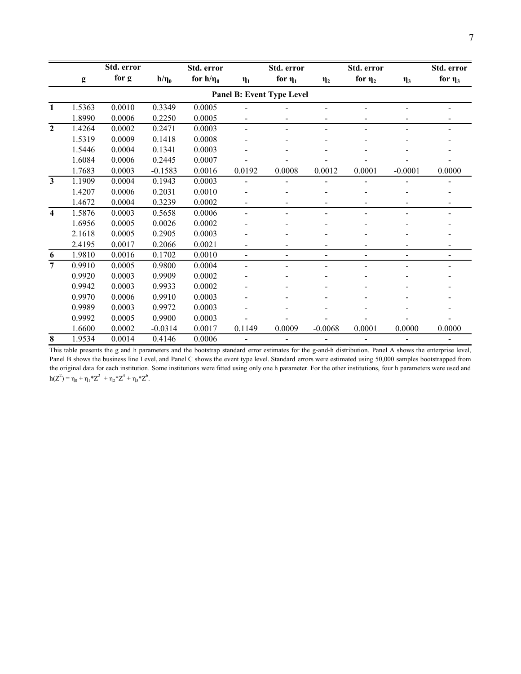|                         |                           | Std. error |            | Std. error     |                | Std. error                   |                          | Std. error                   |                | Std. error               |  |  |  |
|-------------------------|---------------------------|------------|------------|----------------|----------------|------------------------------|--------------------------|------------------------------|----------------|--------------------------|--|--|--|
|                         | $\mathbf{g}$              | for g      | $h/\eta_0$ | for $h/\eta_0$ | $\eta_1$       | for $\eta_1$                 | $\eta_2$                 | for $\eta_2$                 | $\eta_3$       | for $\eta_3$             |  |  |  |
|                         | Panel B: Event Type Level |            |            |                |                |                              |                          |                              |                |                          |  |  |  |
| 1                       | 1.5363                    | 0.0010     | 0.3349     | 0.0005         |                |                              |                          |                              | $\blacksquare$ |                          |  |  |  |
|                         | 1.8990                    | 0.0006     | 0.2250     | 0.0005         |                |                              | -                        |                              |                |                          |  |  |  |
| $\overline{2}$          | 1.4264                    | 0.0002     | 0.2471     | 0.0003         |                |                              |                          |                              |                |                          |  |  |  |
|                         | 1.5319                    | 0.0009     | 0.1418     | 0.0008         |                |                              |                          |                              |                |                          |  |  |  |
|                         | 1.5446                    | 0.0004     | 0.1341     | 0.0003         |                |                              |                          |                              |                |                          |  |  |  |
|                         | 1.6084                    | 0.0006     | 0.2445     | 0.0007         |                |                              |                          |                              |                |                          |  |  |  |
|                         | 1.7683                    | 0.0003     | $-0.1583$  | 0.0016         | 0.0192         | 0.0008                       | 0.0012                   | 0.0001                       | $-0.0001$      | 0.0000                   |  |  |  |
| $\mathbf{3}$            | 1.1909                    | 0.0004     | 0.1943     | 0.0003         |                |                              |                          |                              |                |                          |  |  |  |
|                         | 1.4207                    | 0.0006     | 0.2031     | 0.0010         |                |                              |                          |                              |                |                          |  |  |  |
|                         | 1.4672                    | 0.0004     | 0.3239     | 0.0002         |                |                              |                          |                              |                |                          |  |  |  |
| $\overline{\mathbf{4}}$ | 1.5876                    | 0.0003     | 0.5658     | 0.0006         |                |                              |                          | $\qquad \qquad \blacksquare$ |                |                          |  |  |  |
|                         | 1.6956                    | 0.0005     | 0.0026     | 0.0002         |                |                              |                          |                              |                |                          |  |  |  |
|                         | 2.1618                    | 0.0005     | 0.2905     | 0.0003         |                |                              |                          |                              |                |                          |  |  |  |
|                         | 2.4195                    | 0.0017     | 0.2066     | 0.0021         |                |                              |                          |                              |                |                          |  |  |  |
| 6                       | 1.9810                    | 0.0016     | 0.1702     | 0.0010         | $\blacksquare$ | $\overline{\phantom{a}}$     | Ξ.                       | $\blacksquare$               | $\blacksquare$ | $\overline{\phantom{0}}$ |  |  |  |
| $\overline{7}$          | 0.9910                    | 0.0005     | 0.9800     | 0.0004         |                |                              |                          |                              |                |                          |  |  |  |
|                         | 0.9920                    | 0.0003     | 0.9909     | 0.0002         |                |                              |                          |                              |                |                          |  |  |  |
|                         | 0.9942                    | 0.0003     | 0.9933     | 0.0002         |                |                              |                          |                              |                |                          |  |  |  |
|                         | 0.9970                    | 0.0006     | 0.9910     | 0.0003         |                |                              |                          |                              |                |                          |  |  |  |
|                         | 0.9989                    | 0.0003     | 0.9972     | 0.0003         |                |                              |                          |                              |                |                          |  |  |  |
|                         | 0.9992                    | 0.0005     | 0.9900     | 0.0003         |                |                              |                          |                              |                |                          |  |  |  |
|                         | 1.6600                    | 0.0002     | $-0.0314$  | 0.0017         | 0.1149         | 0.0009                       | $-0.0068$                | 0.0001                       | 0.0000         | 0.0000                   |  |  |  |
| 8                       | 1.9534                    | 0.0014     | 0.4146     | 0.0006         |                | $\qquad \qquad \blacksquare$ | $\overline{\phantom{0}}$ |                              | $\frac{1}{2}$  |                          |  |  |  |

This table presents the g and h parameters and the bootstrap standard error estimates for the g-and-h distribution. Panel A shows the enterprise level, Panel B shows the business line Level, and Panel C shows the event type level. Standard errors were estimated using 50,000 samples bootstrapped from the original data for each institution. Some institutions were fitted using only one h parameter. For the other institutions, four h parameters were used and  $h(Z^2) = \eta_0 + \eta_1 * Z^2 + \eta_2 * Z^4 + \eta_3 * Z^6$ .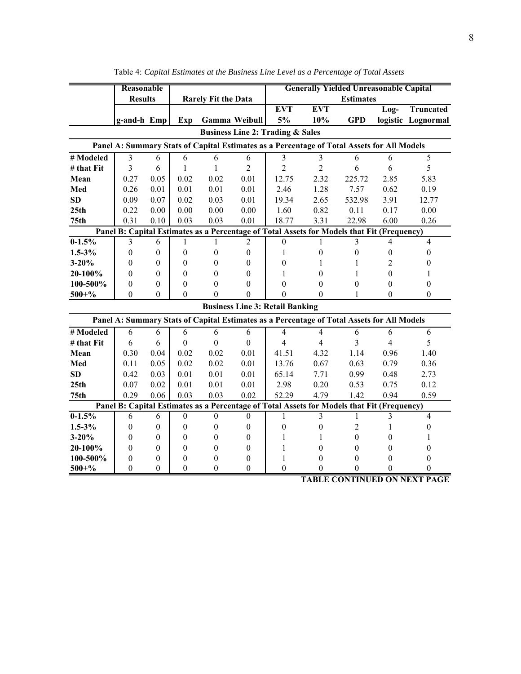|                  | Reasonable       |                  |                  |                            |                      | <b>Generally Yielded Unreasonable Capital</b> |                                                                                            |                  |                  |                    |
|------------------|------------------|------------------|------------------|----------------------------|----------------------|-----------------------------------------------|--------------------------------------------------------------------------------------------|------------------|------------------|--------------------|
|                  | <b>Results</b>   |                  |                  | <b>Rarely Fit the Data</b> |                      |                                               |                                                                                            | <b>Estimates</b> |                  |                    |
|                  |                  |                  |                  |                            |                      | <b>EVT</b>                                    | <b>EVT</b>                                                                                 |                  | Log-             | <b>Truncated</b>   |
|                  | g-and-h Emp      |                  | Exp              |                            | <b>Gamma Weibull</b> | 5%                                            | 10%                                                                                        | <b>GPD</b>       |                  | logistic Lognormal |
|                  |                  |                  |                  |                            |                      | <b>Business Line 2: Trading &amp; Sales</b>   |                                                                                            |                  |                  |                    |
|                  |                  |                  |                  |                            |                      |                                               | Panel A: Summary Stats of Capital Estimates as a Percentage of Total Assets for All Models |                  |                  |                    |
| # Modeled        | 3                | 6                | 6                | 6                          | 6                    | 3                                             | $\overline{\mathbf{3}}$                                                                    | 6                | 6                | 5                  |
| # that Fit       | 3                | 6                | $\mathbf{1}$     | 1                          | $\overline{2}$       | $\overline{2}$                                | $\overline{2}$                                                                             | 6                | 6                | 5                  |
| Mean             | 0.27             | 0.05             | 0.02             | 0.02                       | 0.01                 | 12.75                                         | 2.32                                                                                       | 225.72           | 2.85             | 5.83               |
| Med              | 0.26             | 0.01             | 0.01             | 0.01                       | 0.01                 | 2.46                                          | 1.28                                                                                       | 7.57             | 0.62             | 0.19               |
| <b>SD</b>        | 0.09             | 0.07             | 0.02             | 0.03                       | 0.01                 | 19.34                                         | 2.65                                                                                       | 532.98           | 3.91             | 12.77              |
| 25th             | 0.22             | 0.00             | 0.00             | 0.00                       | 0.00                 | 1.60                                          | 0.82                                                                                       | 0.11             | 0.17             | 0.00               |
| 75 <sub>th</sub> | 0.31             | 0.10             | 0.03             | 0.03                       | 0.01                 | 18.77                                         | 3.31                                                                                       | 22.98            | 6.00             | 0.26               |
|                  |                  |                  |                  |                            |                      |                                               | Panel B: Capital Estimates as a Percentage of Total Assets for Models that Fit (Frequency) |                  |                  |                    |
| $0-1.5%$         | 3                | 6                | 1                | 1                          | $\overline{2}$       | $\boldsymbol{0}$                              | 1                                                                                          | 3                | 4                | $\overline{4}$     |
| $1.5 - 3\%$      | $\boldsymbol{0}$ | $\mathbf{0}$     | $\theta$         | $\theta$                   | $\theta$             | 1                                             | $\boldsymbol{0}$                                                                           | $\boldsymbol{0}$ | $\theta$         | $\theta$           |
| $3 - 20%$        | $\boldsymbol{0}$ | $\boldsymbol{0}$ | $\Omega$         | 0                          | $\Omega$             | $\boldsymbol{0}$                              | 1                                                                                          | 1                | 2                | 0                  |
| 20-100%          | $\boldsymbol{0}$ | $\boldsymbol{0}$ | $\theta$         | 0                          | $\theta$             | 1                                             | $\boldsymbol{0}$                                                                           | 1                | $\theta$         | 1                  |
| 100-500%         | $\boldsymbol{0}$ | $\boldsymbol{0}$ | $\theta$         | $\theta$                   | $\theta$             | $\boldsymbol{0}$                              | $\theta$                                                                                   | $\boldsymbol{0}$ | $\theta$         | $\overline{0}$     |
| $500 + \%$       | $\theta$         | $\theta$         | $\theta$         | $\theta$                   | $\Omega$             | $\overline{0}$                                | $\Omega$                                                                                   | 1                | $\Omega$         | $\theta$           |
|                  |                  |                  |                  |                            |                      | <b>Business Line 3: Retail Banking</b>        |                                                                                            |                  |                  |                    |
|                  |                  |                  |                  |                            |                      |                                               | Panel A: Summary Stats of Capital Estimates as a Percentage of Total Assets for All Models |                  |                  |                    |
| # Modeled        | 6                | 6                | 6                | 6                          | 6                    | $\overline{4}$                                | $\overline{4}$                                                                             | 6                | 6                | 6                  |
| # that Fit       | 6                | 6                | $\mathbf{0}$     | $\boldsymbol{0}$           | $\mathbf{0}$         | $\overline{4}$                                | $\overline{4}$                                                                             | 3                | $\overline{4}$   | 5                  |
| Mean             | 0.30             | 0.04             | 0.02             | 0.02                       | 0.01                 | 41.51                                         | 4.32                                                                                       | 1.14             | 0.96             | 1.40               |
| Med              | 0.11             | 0.05             | 0.02             | 0.02                       | 0.01                 | 13.76                                         | 0.67                                                                                       | 0.63             | 0.79             | 0.36               |
| <b>SD</b>        | 0.42             | 0.03             | 0.01             | 0.01                       | 0.01                 | 65.14                                         | 7.71                                                                                       | 0.99             | 0.48             | 2.73               |
| 25 <sub>th</sub> | 0.07             | 0.02             | 0.01             | 0.01                       | 0.01                 | 2.98                                          | 0.20                                                                                       | 0.53             | 0.75             | 0.12               |
| 75 <sub>th</sub> | 0.29             | 0.06             | 0.03             | 0.03                       | 0.02                 | 52.29                                         | 4.79                                                                                       | 1.42             | 0.94             | 0.59               |
|                  |                  |                  |                  |                            |                      |                                               | Panel B: Capital Estimates as a Percentage of Total Assets for Models that Fit (Frequency) |                  |                  |                    |
| $0-1.5%$         | 6                | 6                | $\boldsymbol{0}$ | $\mathbf{0}$               | $\boldsymbol{0}$     | 1                                             | $\overline{3}$                                                                             | $\mathbf{1}$     | 3                | $\overline{4}$     |
| $1.5 - 3\%$      | $\boldsymbol{0}$ | $\boldsymbol{0}$ | $\boldsymbol{0}$ | $\theta$                   | $\boldsymbol{0}$     | $\boldsymbol{0}$                              | $\boldsymbol{0}$                                                                           | $\overline{c}$   | 1                | $\theta$           |
| $3 - 20%$        | $\theta$         | $\theta$         | $\theta$         | 0                          | $\theta$             | 1                                             | 1                                                                                          | $\theta$         | 0                | 1                  |
| 20-100%          | $\theta$         | $\theta$         | $\theta$         | 0                          | $\theta$             | 1                                             | $\theta$                                                                                   | $\theta$         | 0                | $\theta$           |
| 100-500%         | $\boldsymbol{0}$ | $\boldsymbol{0}$ | $\boldsymbol{0}$ | 0                          | 0                    | $\mathbf{1}$                                  | $\boldsymbol{0}$                                                                           | $\boldsymbol{0}$ | $\theta$         | $\boldsymbol{0}$   |
| $500 + \%$       | $\boldsymbol{0}$ | $\mathbf{0}$     | $\mathbf{0}$     | $\overline{0}$             | $\mathbf{0}$         | $\boldsymbol{0}$                              | $\boldsymbol{0}$                                                                           | $\boldsymbol{0}$ | $\boldsymbol{0}$ | $\boldsymbol{0}$   |

Table 4: *Capital Estimates at the Business Line Level as a Percentage of Total Assets*

**TABLE CONTINUED ON NEXT PAGE**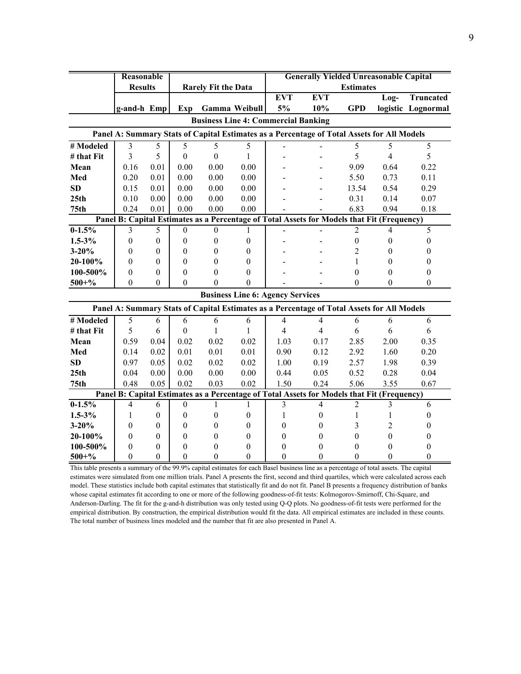|                                                                                            | Reasonable       |                  |                  |                            |                  |                                            | <b>Generally Yielded Unreasonable Capital</b>                                              |                  |                          |                    |  |  |
|--------------------------------------------------------------------------------------------|------------------|------------------|------------------|----------------------------|------------------|--------------------------------------------|--------------------------------------------------------------------------------------------|------------------|--------------------------|--------------------|--|--|
|                                                                                            | <b>Results</b>   |                  |                  | <b>Rarely Fit the Data</b> |                  |                                            |                                                                                            | <b>Estimates</b> |                          |                    |  |  |
|                                                                                            |                  |                  |                  |                            |                  | <b>EVT</b>                                 | <b>EVT</b>                                                                                 |                  | $Log-$                   | Truncated          |  |  |
|                                                                                            | g-and-h Emp      |                  | Exp              | <b>Gamma Weibull</b>       |                  | 5%                                         | 10%                                                                                        | <b>GPD</b>       |                          | logistic Lognormal |  |  |
|                                                                                            |                  |                  |                  |                            |                  | <b>Business Line 4: Commercial Banking</b> |                                                                                            |                  |                          |                    |  |  |
|                                                                                            |                  |                  |                  |                            |                  |                                            | Panel A: Summary Stats of Capital Estimates as a Percentage of Total Assets for All Models |                  |                          |                    |  |  |
| # Modeled                                                                                  | 3                | 5                | $\overline{5}$   | $\overline{5}$             | 5                |                                            |                                                                                            | $\overline{5}$   | 5                        | $\overline{5}$     |  |  |
| # that Fit                                                                                 | 3                | 5                | $\boldsymbol{0}$ | $\theta$                   | 1                |                                            |                                                                                            | 5                | $\overline{4}$           | 5                  |  |  |
| Mean                                                                                       | 0.16             | 0.01             | 0.00             | 0.00                       | 0.00             |                                            |                                                                                            | 9.09             | 0.64                     | 0.22               |  |  |
| Med                                                                                        | 0.20             | 0.01             | 0.00             | 0.00                       | 0.00             |                                            |                                                                                            | 5.50             | 0.73                     | 0.11               |  |  |
| SD                                                                                         | 0.15             | 0.01             | 0.00             | 0.00                       | 0.00             |                                            |                                                                                            | 13.54            | 0.54                     | 0.29               |  |  |
| 25 <sub>th</sub>                                                                           | 0.10             | 0.00             | 0.00             | 0.00                       | 0.00             |                                            |                                                                                            | 0.31             | 0.14                     | 0.07               |  |  |
| 75 <sub>th</sub>                                                                           | 0.24             | 0.01             | 0.00             | 0.00                       | 0.00             |                                            |                                                                                            | 6.83             | 0.94                     | 0.18               |  |  |
| Panel B: Capital Estimates as a Percentage of Total Assets for Models that Fit (Frequency) |                  |                  |                  |                            |                  |                                            |                                                                                            |                  |                          |                    |  |  |
| $0-1.5%$                                                                                   | 3                | 5                | $\mathbf{0}$     | $\mathbf{0}$               | 1                |                                            |                                                                                            | $\overline{2}$   | $\overline{\mathcal{A}}$ | 5                  |  |  |
| $1.5 - 3\%$                                                                                | $\boldsymbol{0}$ | $\mathbf{0}$     | $\theta$         | $\Omega$                   | $\mathbf{0}$     |                                            |                                                                                            | $\boldsymbol{0}$ | $\theta$                 | $\theta$           |  |  |
| $3 - 20%$                                                                                  | $\boldsymbol{0}$ | $\theta$         | $\theta$         | 0                          | 0                |                                            |                                                                                            | 2                | 0                        | 0                  |  |  |
| 20-100%                                                                                    | $\boldsymbol{0}$ | $\theta$         | $\theta$         | 0                          | $\theta$         |                                            |                                                                                            | 1                | 0                        | 0                  |  |  |
| 100-500%                                                                                   | $\boldsymbol{0}$ | $\boldsymbol{0}$ | $\boldsymbol{0}$ | $\theta$                   | $\theta$         |                                            |                                                                                            | $\boldsymbol{0}$ | $\theta$                 | $\theta$           |  |  |
| $500 + \%$                                                                                 | $\Omega$         | $\Omega$         | $\theta$         | $\Omega$                   | $\theta$         |                                            |                                                                                            | $\theta$         | $\Omega$                 | $\Omega$           |  |  |
|                                                                                            |                  |                  |                  |                            |                  | <b>Business Line 6: Agency Services</b>    |                                                                                            |                  |                          |                    |  |  |
|                                                                                            |                  |                  |                  |                            |                  |                                            | Panel A: Summary Stats of Capital Estimates as a Percentage of Total Assets for All Models |                  |                          |                    |  |  |
| # Modeled                                                                                  | 5                | 6                | 6                | 6                          | 6                | $\overline{4}$                             | $\overline{4}$                                                                             | 6                | 6                        | 6                  |  |  |
| # that Fit                                                                                 | 5                | 6                | $\boldsymbol{0}$ | $\mathbf{1}$               | 1                | $\overline{4}$                             | $\overline{4}$                                                                             | 6                | 6                        | 6                  |  |  |
| Mean                                                                                       | 0.59             | 0.04             | 0.02             | 0.02                       | 0.02             | 1.03                                       | 0.17                                                                                       | 2.85             | 2.00                     | 0.35               |  |  |
| Med                                                                                        | 0.14             | 0.02             | 0.01             | 0.01                       | 0.01             | 0.90                                       | 0.12                                                                                       | 2.92             | 1.60                     | 0.20               |  |  |
| SD                                                                                         | 0.97             | 0.05             | 0.02             | 0.02                       | 0.02             | 1.00                                       | 0.19                                                                                       | 2.57             | 1.98                     | 0.39               |  |  |
| 25 <sub>th</sub>                                                                           | 0.04             | 0.00             | 0.00             | 0.00                       | $0.00\,$         | 0.44                                       | 0.05                                                                                       | 0.52             | 0.28                     | 0.04               |  |  |
| 75 <sub>th</sub>                                                                           | 0.48             | 0.05             | 0.02             | 0.03                       | 0.02             | 1.50                                       | 0.24                                                                                       | 5.06             | 3.55                     | 0.67               |  |  |
|                                                                                            |                  |                  |                  |                            |                  |                                            | Panel B: Capital Estimates as a Percentage of Total Assets for Models that Fit (Frequency) |                  |                          |                    |  |  |
| $0 - 1.5\%$                                                                                | $\overline{4}$   | 6                | $\boldsymbol{0}$ | 1                          | 1                | 3                                          | $\overline{4}$                                                                             | $\overline{2}$   | 3                        | 6                  |  |  |
| $1.5 - 3\%$                                                                                | 1                | $\boldsymbol{0}$ | $\boldsymbol{0}$ | $\boldsymbol{0}$           | $\boldsymbol{0}$ | 1                                          | $\boldsymbol{0}$                                                                           | $\mathbf{1}$     | 1                        | $\theta$           |  |  |
| $3 - 20%$                                                                                  | $\boldsymbol{0}$ | $\boldsymbol{0}$ | $\boldsymbol{0}$ | 0                          | $\mathbf{0}$     | $\overline{0}$                             | $\boldsymbol{0}$                                                                           | 3                | 2                        | 0                  |  |  |
| 20-100%                                                                                    | $\theta$         | $\boldsymbol{0}$ | $\theta$         | 0                          | $\mathbf{0}$     | $\theta$                                   | $\mathbf{0}$                                                                               | $\boldsymbol{0}$ | $\boldsymbol{0}$         | $\theta$           |  |  |
| 100-500%                                                                                   | $\boldsymbol{0}$ | $\boldsymbol{0}$ | $\boldsymbol{0}$ | $\boldsymbol{0}$           | $\boldsymbol{0}$ | 0                                          | $\boldsymbol{0}$                                                                           | 0                | $\overline{0}$           | 0                  |  |  |
| $500 + \%$                                                                                 | $\mathbf{0}$     | $\mathbf{0}$     | $\mathbf{0}$     | $\mathbf{0}$               | $\Omega$         | $\mathbf{0}$                               | $\mathbf{0}$                                                                               | $\mathbf{0}$     | $\mathbf{0}$             | $\theta$           |  |  |

This table presents a summary of the 99.9% capital estimates for each Basel business line as a percentage of total assets. The capital estimates were simulated from one million trials. Panel A presents the first, second and third quartiles, which were calculated across each model. These statistics include both capital estimates that statistically fit and do not fit. Panel B presents a frequency distribution of banks whose capital estimates fit according to one or more of the following goodness-of-fit tests: Kolmogorov-Smirnoff, Chi-Square, and Anderson-Darling. The fit for the g-and-h distribution was only tested using Q-Q plots. No goodness-of-fit tests were performed for the empirical distribution. By construction, the empirical distribution would fit the data. All empirical estimates are included in these counts. The total number of business lines modeled and the number that fit are also presented in Panel A.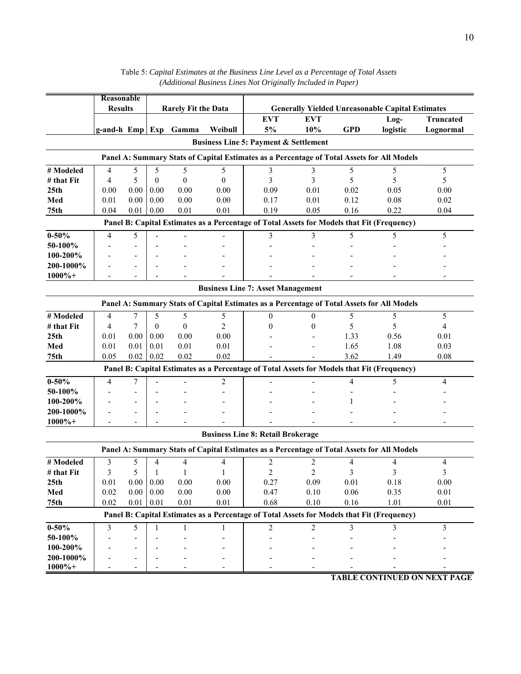|                                                                                            | Reasonable                                                                                 |      |              |                            |                |                                                                                            |                |            |                                                         |                                     |
|--------------------------------------------------------------------------------------------|--------------------------------------------------------------------------------------------|------|--------------|----------------------------|----------------|--------------------------------------------------------------------------------------------|----------------|------------|---------------------------------------------------------|-------------------------------------|
|                                                                                            | <b>Results</b>                                                                             |      |              | <b>Rarely Fit the Data</b> |                |                                                                                            |                |            | <b>Generally Yielded Unreasonable Capital Estimates</b> |                                     |
|                                                                                            |                                                                                            |      |              |                            |                | <b>EVT</b>                                                                                 | <b>EVT</b>     |            | $Log-$                                                  | <b>Truncated</b>                    |
|                                                                                            |                                                                                            |      |              | g-and-h Emp Exp Gamma      | Weibull        | 5%                                                                                         | 10%            | <b>GPD</b> | logistic                                                | Lognormal                           |
|                                                                                            |                                                                                            |      |              |                            |                | <b>Business Line 5: Payment &amp; Settlement</b>                                           |                |            |                                                         |                                     |
|                                                                                            |                                                                                            |      |              |                            |                | Panel A: Summary Stats of Capital Estimates as a Percentage of Total Assets for All Models |                |            |                                                         |                                     |
| # Modeled                                                                                  | 4                                                                                          | 5    | 5            | 5                          | 5              | 3                                                                                          | 3              | 5          | 5                                                       | 5                                   |
| # that Fit                                                                                 | 4                                                                                          | 5    | $\mathbf{0}$ | $\theta$                   | $\theta$       | 3                                                                                          | 3              | 5          | 5                                                       | 5                                   |
| 25 <sub>th</sub>                                                                           | 0.00                                                                                       | 0.00 | 0.00         | 0.00                       | 0.00           | 0.09                                                                                       | 0.01           | 0.02       | 0.05                                                    | 0.00                                |
| Med                                                                                        | 0.01                                                                                       | 0.00 | 0.00         | 0.00                       | 0.00           | 0.17                                                                                       | 0.01           | 0.12       | 0.08                                                    | 0.02                                |
| 75 <sub>th</sub>                                                                           | 0.04                                                                                       | 0.01 | 0.00         | 0.01                       | 0.01           | 0.19                                                                                       | 0.05           | 0.16       | 0.22                                                    | 0.04                                |
|                                                                                            | Panel B: Capital Estimates as a Percentage of Total Assets for Models that Fit (Frequency) |      |              |                            |                |                                                                                            |                |            |                                                         |                                     |
| $0 - 50\%$                                                                                 | 4                                                                                          | 5    |              |                            |                | 3                                                                                          | 3              | 5          | 5                                                       | 5                                   |
| 50-100%                                                                                    |                                                                                            |      |              |                            |                |                                                                                            |                |            |                                                         |                                     |
| 100-200%                                                                                   |                                                                                            |      |              |                            |                |                                                                                            |                |            |                                                         |                                     |
| 200-1000%                                                                                  |                                                                                            |      |              |                            |                |                                                                                            |                |            |                                                         |                                     |
| $1000\% +$                                                                                 |                                                                                            |      |              |                            |                |                                                                                            |                |            |                                                         |                                     |
| <b>Business Line 7: Asset Management</b>                                                   |                                                                                            |      |              |                            |                |                                                                                            |                |            |                                                         |                                     |
| Panel A: Summary Stats of Capital Estimates as a Percentage of Total Assets for All Models |                                                                                            |      |              |                            |                |                                                                                            |                |            |                                                         |                                     |
| # Modeled                                                                                  | 4                                                                                          | 7    | 5            | 5                          | 5              | $\theta$                                                                                   | $\theta$       | 5          | 5                                                       | 5                                   |
| # that Fit                                                                                 | $\overline{4}$                                                                             | 7    | $\mathbf{0}$ | $\theta$                   | $\overline{2}$ | $\theta$                                                                                   | 0              | 5          | 5                                                       | $\overline{4}$                      |
| 25 <sub>th</sub>                                                                           | 0.01                                                                                       | 0.00 | 0.00         | 0.00                       | 0.00           |                                                                                            |                | 1.33       | 0.56                                                    | 0.01                                |
| Med                                                                                        | 0.01                                                                                       | 0.01 | 0.01         | 0.01                       | 0.01           |                                                                                            |                | 1.65       | 1.08                                                    | 0.03                                |
| 75th                                                                                       | 0.05                                                                                       | 0.02 | 0.02         | 0.02                       | 0.02           |                                                                                            |                | 3.62       | 1.49                                                    | 0.08                                |
|                                                                                            |                                                                                            |      |              |                            |                | Panel B: Capital Estimates as a Percentage of Total Assets for Models that Fit (Frequency) |                |            |                                                         |                                     |
| $0 - 50%$                                                                                  | 4                                                                                          | 7    |              |                            | 2              |                                                                                            |                | 4          | 5                                                       | 4                                   |
| 50-100%                                                                                    |                                                                                            |      |              |                            |                |                                                                                            |                |            |                                                         |                                     |
| 100-200%                                                                                   |                                                                                            |      |              |                            |                |                                                                                            |                |            |                                                         |                                     |
| 200-1000%                                                                                  |                                                                                            |      |              |                            |                |                                                                                            |                |            |                                                         |                                     |
| $1000\%+$                                                                                  |                                                                                            |      |              |                            |                |                                                                                            |                |            |                                                         |                                     |
|                                                                                            |                                                                                            |      |              |                            |                | <b>Business Line 8: Retail Brokerage</b>                                                   |                |            |                                                         |                                     |
|                                                                                            |                                                                                            |      |              |                            |                | Panel A: Summary Stats of Capital Estimates as a Percentage of Total Assets for All Models |                |            |                                                         |                                     |
| # Modeled                                                                                  | 3                                                                                          | 5    | 4            | 4                          | 4              | 2                                                                                          | 2              | 4          | 4                                                       | 4                                   |
| # that Fit                                                                                 | 3                                                                                          | 5    | 1            | $\mathbf{1}$               | 1              | $\mathfrak{D}$                                                                             | $\mathfrak{D}$ | 3          | 3                                                       | 3                                   |
| 25 <sub>th</sub>                                                                           | 0.01                                                                                       | 0.00 | 0.00         | 0.00                       | 0.00           | 0.27                                                                                       | 0.09           | 0.01       | 0.18                                                    | 0.00                                |
| Med                                                                                        | 0.02                                                                                       | 0.00 | $0.00\,$     | 0.00                       | 0.00           | 0.47                                                                                       | 0.10           | 0.06       | 0.35                                                    | 0.01                                |
| 75th                                                                                       | 0.02                                                                                       | 0.01 | 0.01         | 0.01                       | 0.01           | 0.68                                                                                       | $0.10\,$       | $0.16\,$   | 1.01                                                    | 0.01                                |
|                                                                                            |                                                                                            |      |              |                            |                | Panel B: Capital Estimates as a Percentage of Total Assets for Models that Fit (Frequency) |                |            |                                                         |                                     |
| $0 - 50%$                                                                                  | 3                                                                                          | 5    | 1            | 1                          | 1              | $\overline{c}$                                                                             | $\overline{c}$ | 3          | 3                                                       | 3                                   |
| 50-100%                                                                                    |                                                                                            |      |              |                            |                |                                                                                            |                |            |                                                         |                                     |
| 100-200%                                                                                   |                                                                                            |      |              |                            |                |                                                                                            |                |            |                                                         |                                     |
| 200-1000%                                                                                  |                                                                                            |      |              |                            |                |                                                                                            |                |            |                                                         |                                     |
| $1000\%+$                                                                                  |                                                                                            |      |              |                            |                |                                                                                            |                |            |                                                         |                                     |
|                                                                                            |                                                                                            |      |              |                            |                |                                                                                            |                |            |                                                         | <b>TABLE CONTINUED ON NEXT PAGE</b> |

| Table 5: Capital Estimates at the Business Line Level as a Percentage of Total Assets |
|---------------------------------------------------------------------------------------|
| (Additional Business Lines Not Originally Included in Paper)                          |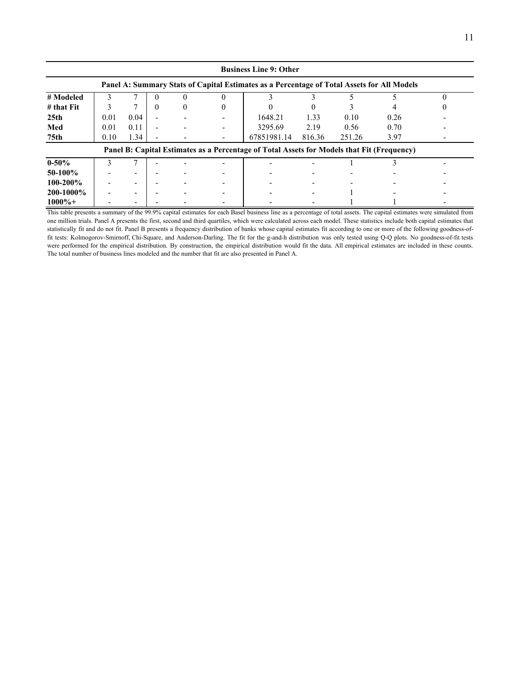|                                                                                            | <b>Business Line 9: Other</b> |      |          |          |        |                                                                                            |        |        |      |  |  |  |
|--------------------------------------------------------------------------------------------|-------------------------------|------|----------|----------|--------|--------------------------------------------------------------------------------------------|--------|--------|------|--|--|--|
| Panel A: Summary Stats of Capital Estimates as a Percentage of Total Assets for All Models |                               |      |          |          |        |                                                                                            |        |        |      |  |  |  |
| # Modeled                                                                                  |                               |      | 0        |          |        |                                                                                            |        |        |      |  |  |  |
| $#$ that $Fit$                                                                             |                               |      | $\theta$ | $\theta$ | $_{0}$ |                                                                                            |        |        |      |  |  |  |
| 25 <sub>th</sub>                                                                           | 0.01                          | 0.04 |          |          |        | 1648.21                                                                                    | 1.33   | 0.10   | 0.26 |  |  |  |
| Med                                                                                        | 0.01                          | 0.11 |          |          |        | 3295.69                                                                                    | 2.19   | 0.56   | 0.70 |  |  |  |
| 75th                                                                                       | 0.10                          | 1.34 |          |          |        | 67851981.14                                                                                | 816.36 | 251.26 | 3.97 |  |  |  |
|                                                                                            |                               |      |          |          |        | Panel B: Capital Estimates as a Percentage of Total Assets for Models that Fit (Frequency) |        |        |      |  |  |  |
| $0 - 50%$                                                                                  |                               |      |          |          |        |                                                                                            |        |        |      |  |  |  |
| 50-100%                                                                                    |                               |      |          |          |        |                                                                                            |        |        |      |  |  |  |
| $100 - 200\%$                                                                              |                               |      |          |          |        |                                                                                            |        |        |      |  |  |  |
| 200-1000%                                                                                  |                               |      |          |          |        |                                                                                            |        |        |      |  |  |  |
| $1000\%+$                                                                                  |                               |      |          |          |        |                                                                                            |        |        |      |  |  |  |

This table presents a summary of the 99.9% capital estimates for each Basel business line as a percentage of total assets. The capital estimates were simulated from one million trials. Panel A presents the first, second and third quartiles, which were calculated across each model. These statistics include both capital estimates that statistically fit and do not fit. Panel B presents a frequency distribution of banks whose capital estimates fit according to one or more of the following goodness-offit tests: Kolmogorov-Smirnoff, Chi-Square, and Anderson-Darling. The fit for the g-and-h distribution was only tested using Q-Q plots. No goodness-of-fit tests were performed for the empirical distribution. By construction, the empirical distribution would fit the data. All empirical estimates are included in these counts. The total number of business lines modeled and the number that fit are also presented in Panel A.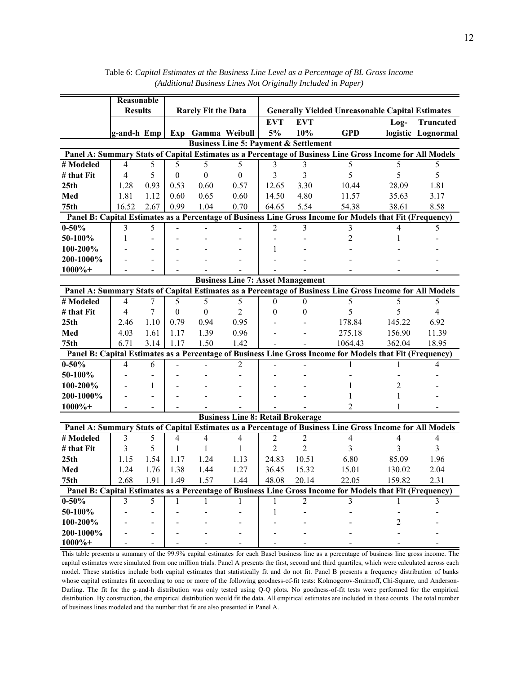|                  |                | Reasonable               |                  |                            |                                                  |                  |                  |                                                                                                          |                         |                    |
|------------------|----------------|--------------------------|------------------|----------------------------|--------------------------------------------------|------------------|------------------|----------------------------------------------------------------------------------------------------------|-------------------------|--------------------|
|                  | <b>Results</b> |                          |                  | <b>Rarely Fit the Data</b> |                                                  |                  |                  | <b>Generally Yielded Unreasonable Capital Estimates</b>                                                  |                         |                    |
|                  |                |                          |                  |                            |                                                  | <b>EVT</b>       | <b>EVT</b>       |                                                                                                          | Log-                    | <b>Truncated</b>   |
|                  | g-and-h Emp    |                          |                  |                            | Exp Gamma Weibull                                | 5%               | 10%              | <b>GPD</b>                                                                                               |                         | logistic Lognormal |
|                  |                |                          |                  |                            | <b>Business Line 5: Payment &amp; Settlement</b> |                  |                  |                                                                                                          |                         |                    |
|                  |                |                          |                  |                            |                                                  |                  |                  | Panel A: Summary Stats of Capital Estimates as a Percentage of Business Line Gross Income for All Models |                         |                    |
| # Modeled        | $\overline{4}$ | 5                        | 5                | 5                          | 5                                                | 3                | 3                | 5                                                                                                        | 5                       | 5                  |
| # that Fit       | $\overline{4}$ | 5                        | $\boldsymbol{0}$ | $\boldsymbol{0}$           | $\boldsymbol{0}$                                 | 3                | 3                | 5                                                                                                        | 5                       | 5                  |
| 25 <sub>th</sub> | 1.28           | 0.93                     | 0.53             | 0.60                       | 0.57                                             | 12.65            | 3.30             | 10.44                                                                                                    | 28.09                   | 1.81               |
| Med              | 1.81           | 1.12                     | 0.60             | 0.65                       | 0.60                                             | 14.50            | 4.80             | 11.57                                                                                                    | 35.63                   | 3.17               |
| 75 <sub>th</sub> | 16.52          | 2.67                     | 0.99             | 1.04                       | 0.70                                             | 64.65            | 5.54             | 54.38                                                                                                    | 38.61                   | 8.58               |
|                  |                |                          |                  |                            |                                                  |                  |                  | Panel B: Capital Estimates as a Percentage of Business Line Gross Income for Models that Fit (Frequency) |                         |                    |
| $0 - 50\%$       | 3              | 5                        |                  |                            |                                                  | $\overline{2}$   | 3                | 3                                                                                                        | 4                       | 5                  |
| 50-100%          | $\mathbf{1}$   | $\sim$                   |                  |                            |                                                  |                  |                  | $\overline{2}$                                                                                           | 1                       |                    |
| 100-200%         |                | $\overline{\phantom{a}}$ |                  |                            |                                                  | 1                |                  |                                                                                                          |                         |                    |
| 200-1000%        |                | $\overline{\phantom{a}}$ |                  |                            |                                                  |                  |                  |                                                                                                          |                         |                    |
| $1000\% +$       |                |                          |                  |                            |                                                  |                  |                  |                                                                                                          |                         |                    |
|                  |                |                          |                  |                            | <b>Business Line 7: Asset Management</b>         |                  |                  |                                                                                                          |                         |                    |
|                  |                |                          |                  |                            |                                                  |                  |                  | Panel A: Summary Stats of Capital Estimates as a Percentage of Business Line Gross Income for All Models |                         |                    |
| # Modeled        | $\overline{4}$ | 7                        | 5                | 5                          | 5                                                | $\boldsymbol{0}$ | $\mathbf{0}$     | 5                                                                                                        | 5                       | 5                  |
| # that Fit       | 4              | 7                        | $\mathbf{0}$     | $\boldsymbol{0}$           | 2                                                | 0                | $\boldsymbol{0}$ | 5                                                                                                        | 5                       | $\overline{4}$     |
| 25 <sub>th</sub> | 2.46           | 1.10                     | 0.79             | 0.94                       | 0.95                                             |                  |                  | 178.84                                                                                                   | 145.22                  | 6.92               |
| Med              | 4.03           | 1.61                     | 1.17             | 1.39                       | 0.96                                             |                  |                  | 275.18                                                                                                   | 156.90                  | 11.39              |
| 75 <sub>th</sub> | 6.71           | 3.14                     | 1.17             | 1.50                       | 1.42                                             |                  |                  | 1064.43                                                                                                  | 362.04                  | 18.95              |
|                  |                |                          |                  |                            |                                                  |                  |                  | Panel B: Capital Estimates as a Percentage of Business Line Gross Income for Models that Fit (Frequency) |                         |                    |
| $0 - 50\%$       | 4              | 6                        |                  |                            | $\overline{2}$                                   |                  |                  |                                                                                                          |                         | 4                  |
| 50-100%          |                | $\overline{a}$           |                  |                            |                                                  |                  |                  |                                                                                                          |                         |                    |
| 100-200%         |                | 1                        |                  |                            |                                                  |                  |                  |                                                                                                          | 2                       |                    |
| 200-1000%        |                |                          |                  |                            |                                                  |                  |                  |                                                                                                          | 1                       |                    |
| $1000\%+$        |                |                          |                  |                            |                                                  |                  |                  | $\overline{2}$                                                                                           |                         |                    |
|                  |                |                          |                  |                            | <b>Business Line 8: Retail Brokerage</b>         |                  |                  |                                                                                                          |                         |                    |
|                  |                |                          |                  |                            |                                                  |                  |                  | Panel A: Summary Stats of Capital Estimates as a Percentage of Business Line Gross Income for All Models |                         |                    |
| # Modeled        | 3              | 5                        | 4                | $\overline{4}$             | $\overline{4}$                                   | 2                | 2                | $\overline{4}$                                                                                           | 4                       | $\overline{4}$     |
| # that Fit       | 3              | 5                        | 1                | 1                          | 1                                                | $\overline{2}$   | $\overline{c}$   | 3                                                                                                        | $\overline{\mathbf{3}}$ | $\overline{3}$     |
| 25 <sub>th</sub> | 1.15           | 1.54                     | 1.17             | 1.24                       | 1.13                                             | 24.83            | 10.51            | 6.80                                                                                                     | 85.09                   | 1.96               |
| Med              | 1.24           | 1.76                     | 1.38             | 1.44                       | 1.27                                             | 36.45            | 15.32            | 15.01                                                                                                    | 130.02                  | 2.04               |
| 75th             | 2.68           | 1.91                     | 1.49             | 1.57                       | 1.44                                             | 48.08            | 20.14            | 22.05                                                                                                    | 159.82                  | 2.31               |
|                  |                |                          |                  |                            |                                                  |                  |                  | Panel B: Capital Estimates as a Percentage of Business Line Gross Income for Models that Fit (Frequency) |                         |                    |
| $0 - 50%$        | 3              | 5                        | 1                | 1                          | 1                                                | 1                | 2                | 3                                                                                                        |                         | 3                  |
| 50-100%          |                |                          |                  |                            |                                                  |                  |                  |                                                                                                          |                         |                    |
| 100-200%         |                |                          |                  |                            |                                                  |                  |                  |                                                                                                          | 2                       |                    |
| 200-1000%        |                |                          |                  |                            |                                                  |                  |                  |                                                                                                          |                         |                    |
| $1000\% +$       |                |                          |                  |                            |                                                  |                  |                  |                                                                                                          |                         |                    |

Table 6: *Capital Estimates at the Business Line Level as a Percentage of BL Gross Income (Additional Business Lines Not Originally Included in Paper)*

This table presents a summary of the 99.9% capital estimates for each Basel business line as a percentage of business line gross income. The capital estimates were simulated from one million trials. Panel A presents the first, second and third quartiles, which were calculated across each model. These statistics include both capital estimates that statistically fit and do not fit. Panel B presents a frequency distribution of banks whose capital estimates fit according to one or more of the following goodness-of-fit tests: Kolmogorov-Smirnoff, Chi-Square, and Anderson-Darling. The fit for the g-and-h distribution was only tested using Q-Q plots. No goodness-of-fit tests were performed for the empirical distribution. By construction, the empirical distribution would fit the data. All empirical estimates are included in these counts. The total number of business lines modeled and the number that fit are also presented in Panel A.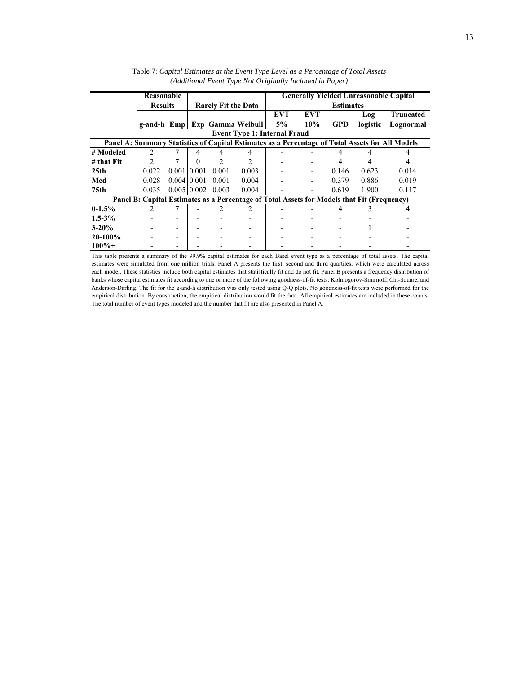|                | Reasonable     |             |                  |                            |                               |                                     |            |                  | <b>Generally Yielded Unreasonable Capital</b>                                              |                                                                                                 |
|----------------|----------------|-------------|------------------|----------------------------|-------------------------------|-------------------------------------|------------|------------------|--------------------------------------------------------------------------------------------|-------------------------------------------------------------------------------------------------|
|                | <b>Results</b> |             |                  | <b>Rarely Fit the Data</b> |                               |                                     |            | <b>Estimates</b> |                                                                                            |                                                                                                 |
|                |                |             |                  |                            |                               | <b>EVT</b>                          | <b>EVT</b> |                  | Log-                                                                                       | <b>Truncated</b>                                                                                |
|                |                |             |                  |                            | g-and-h Emp Exp Gamma Weibull | 5%                                  | 10%        | <b>GPD</b>       | logistic                                                                                   | Lognormal                                                                                       |
|                |                |             |                  |                            |                               | <b>Event Type 1: Internal Fraud</b> |            |                  |                                                                                            |                                                                                                 |
|                |                |             |                  |                            |                               |                                     |            |                  |                                                                                            | Panel A: Summary Statistics of Capital Estimates as a Percentage of Total Assets for All Models |
| # Modeled      | $\mathfrak{D}$ |             | 4                |                            |                               |                                     |            |                  |                                                                                            |                                                                                                 |
| $#$ that $Fit$ |                |             |                  |                            |                               |                                     |            |                  |                                                                                            |                                                                                                 |
| 25th           | 0.022          | 0.001 0.001 |                  | 0.001                      | 0.003                         |                                     |            | 0.146            | 0.623                                                                                      | 0.014                                                                                           |
| Med            | 0.028          | 0.004 0.001 |                  | 0.001                      | 0.004                         |                                     |            | 0.379            | 0.886                                                                                      | 0.019                                                                                           |
| 75th           | 0.035          |             | $0.005 \, 0.002$ | 0.003                      | 0.004                         |                                     |            | 0.619            | 1.900                                                                                      | 0.117                                                                                           |
|                |                |             |                  |                            |                               |                                     |            |                  | Panel B: Capital Estimates as a Percentage of Total Assets for Models that Fit (Frequency) |                                                                                                 |
| $0-1.5%$       |                |             |                  |                            |                               |                                     |            |                  |                                                                                            | 4                                                                                               |
| $1.5 - 3\%$    |                |             |                  |                            |                               |                                     |            |                  |                                                                                            |                                                                                                 |
| $3 - 20%$      |                |             |                  |                            |                               |                                     |            |                  |                                                                                            |                                                                                                 |
| $20-100%$      |                |             |                  |                            |                               |                                     |            |                  |                                                                                            |                                                                                                 |
| $100\% +$      |                |             |                  |                            |                               |                                     |            |                  |                                                                                            |                                                                                                 |

Table 7: *Capital Estimates at the Event Type Level as a Percentage of Total Assets (Additional Event Type Not Originally Included in Paper)*

This table presents a summary of the 99.9% capital estimates for each Basel event type as a percentage of total assets. The capital estimates were simulated from one million trials. Panel A presents the first, second and third quartiles, which were calculated across each model. These statistics include both capital estimates that statistically fit and do not fit. Panel B presents a frequency distribution of banks whose capital estimates fit according to one or more of the following goodness-of-fit tests: Kolmogorov-Smirnoff, Chi-Square, and Anderson-Darling. The fit for the g-and-h distribution was only tested using Q-Q plots. No goodness-of-fit tests were performed for the empirical distribution. By construction, the empirical distribution would fit the data. All empirical estimates are included in these counts. The total number of event types modeled and the number that fit are also presented in Panel A.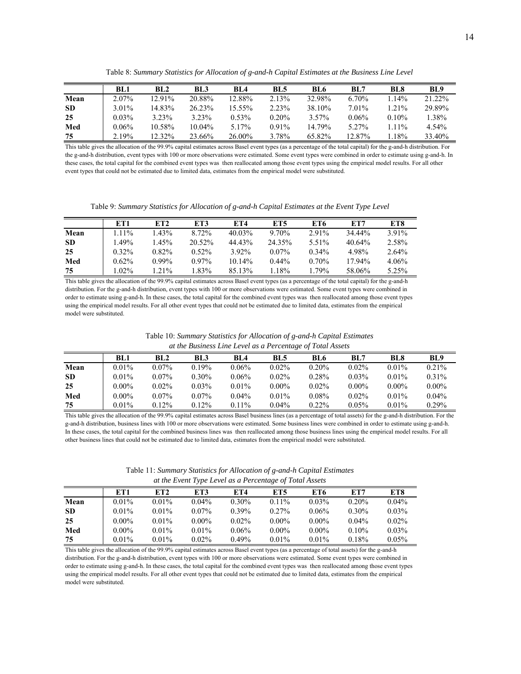Table 8: *Summary Statistics for Allocation of g-and-h Capital Estimates at the Business Line Level*

|           | BL1      | BL2    | BL3    | BLA      | <b>BL5</b> | <b>BL6</b> | BL7      | <b>BL8</b> | <b>BL9</b> |
|-----------|----------|--------|--------|----------|------------|------------|----------|------------|------------|
| Mean      | 2.07%    | 12.91% | 20.88% | 12.88%   | 2.13%      | 32.98%     | $6.70\%$ | $14\%$     | 21.22%     |
| <b>SD</b> | 3.01%    | 14.83% | 26.23% | 15.55%   | 2.23%      | 38.10%     | 7.01%    | $1.21\%$   | 29.89%     |
| 25        | $0.03\%$ | 3.23%  | 3.23%  | $0.53\%$ | $0.20\%$   | $3.57\%$   | $0.06\%$ | $0.10\%$   | 1.38%      |
| Med       | $0.06\%$ | 10.58% | 10.04% | 5.17%    | 0.91%      | 14.79%     | 5.27%    | $11\%$     | 4.54%      |
| 75        | 2.19%    | 12.32% | 23.66% | 26.00%   | 3.78%      | 65.82%     | 12.87%   | 18%        | 33.40%     |

This table gives the allocation of the 99.9% capital estimates across Basel event types (as a percentage of the total capital) for the g-and-h distribution. For the g-and-h distribution, event types with 100 or more observations were estimated. Some event types were combined in order to estimate using g-and-h. In these cases, the total capital for the combined event types was then reallocated among those event types using the empirical model results. For all other event types that could not be estimated due to limited data, estimates from the empirical model were substituted.

Table 9: *Summary Statistics for Allocation of g-and-h Capital Estimates at the Event Type Level*

|           | ET1      | ET <sub>2</sub> | ET3       | ET4       | ET5      | ET6      | ET7       | ET8   |
|-----------|----------|-----------------|-----------|-----------|----------|----------|-----------|-------|
| Mean      | $1.11\%$ | $1.43\%$        | 8.72%     | $40.03\%$ | 9.70%    | $2.91\%$ | 34.44%    | 3.91% |
| <b>SD</b> | $.49\%$  | $1.45\%$        | $20.52\%$ | 44.43%    | 24.35%   | 5.51%    | $40.64\%$ | 2.58% |
| 25        | $0.32\%$ | $0.82\%$        | $0.52\%$  | 3.92%     | $0.07\%$ | $0.34\%$ | 4.98%     | 2.64% |
| Med       | $0.62\%$ | $0.99\%$        | $0.97\%$  | $10.14\%$ | $0.44\%$ | $0.70\%$ | 17.94%    | 4.06% |
| 75        | $0.02\%$ | $1.21\%$        | $.83\%$   | 85.13%    | 1.18%    | 1.79%    | 58.06%    | 5.25% |

This table gives the allocation of the 99.9% capital estimates across Basel event types (as a percentage of the total capital) for the g-and-h distribution. For the g-and-h distribution, event types with 100 or more observations were estimated. Some event types were combined in order to estimate using g-and-h. In these cases, the total capital for the combined event types was then reallocated among those event types using the empirical model results. For all other event types that could not be estimated due to limited data, estimates from the empirical model were substituted.

| Table 10: Summary Statistics for Allocation of g-and-h Capital Estimates |  |
|--------------------------------------------------------------------------|--|
| at the Business Line Level as a Percentage of Total Assets               |  |

|           | BL1      | BL2      | BL3      | BL <sub>4</sub> | <b>BL5</b> | <b>BL6</b> | BL7      | <b>BL8</b> | BL <sub>9</sub> |
|-----------|----------|----------|----------|-----------------|------------|------------|----------|------------|-----------------|
| Mean      | $0.01\%$ | $0.07\%$ | 0.19%    | $0.06\%$        | $0.02\%$   | $0.20\%$   | $0.02\%$ | $0.01\%$   | $0.21\%$        |
| <b>SD</b> | $0.01\%$ | $0.07\%$ | $0.30\%$ | $0.06\%$        | $0.02\%$   | 0.28%      | $0.03\%$ | $0.01\%$   | $0.31\%$        |
| 25        | $0.00\%$ | 0.02%    | $0.03\%$ | $0.01\%$        | $0.00\%$   | $0.02\%$   | $0.00\%$ | $0.00\%$   | $0.00\%$        |
| Med       | $0.00\%$ | $0.07\%$ | $0.07\%$ | $0.04\%$        | $0.01\%$   | $0.08\%$   | $0.02\%$ | $0.01\%$   | $0.04\%$        |
| 75        | $0.01\%$ | $0.12\%$ | 0.12%    | $0.11\%$        | $0.04\%$   | $0.22\%$   | $0.05\%$ | $0.01\%$   | $0.29\%$        |

This table gives the allocation of the 99.9% capital estimates across Basel business lines (as a percentage of total assets) for the g-and-h distribution. For the g-and-h distribution, business lines with 100 or more observations were estimated. Some business lines were combined in order to estimate using g-and-h. In these cases, the total capital for the combined business lines was then reallocated among those business lines using the empirical model results. For all other business lines that could not be estimated due to limited data, estimates from the empirical model were substituted.

Table 11: *Summary Statistics for Allocation of g-and-h Capital Estimates at the Event Type Level as a Percentage of Total Assets*

|           | ET1      | ET2      | ET3      | ET4      | ET5      | ET6      | ET7      | ET8      |
|-----------|----------|----------|----------|----------|----------|----------|----------|----------|
| Mean      | $0.01\%$ | $0.01\%$ | $0.04\%$ | $0.30\%$ | $0.11\%$ | $0.03\%$ | $0.20\%$ | $0.04\%$ |
| <b>SD</b> | $0.01\%$ | $0.01\%$ | $0.07\%$ | $0.39\%$ | $0.27\%$ | $0.06\%$ | $0.30\%$ | $0.03\%$ |
| 25        | $0.00\%$ | $0.01\%$ | $0.00\%$ | $0.02\%$ | $0.00\%$ | $0.00\%$ | $0.04\%$ | $0.02\%$ |
| Med       | $0.00\%$ | $0.01\%$ | $0.01\%$ | $0.06\%$ | $0.00\%$ | $0.00\%$ | $0.10\%$ | $0.03\%$ |
| 75        | $0.01\%$ | $0.01\%$ | $0.02\%$ | 0.49%    | $0.01\%$ | $0.01\%$ | 0.18%    | 0.05%    |

This table gives the allocation of the 99.9% capital estimates across Basel event types (as a percentage of total assets) for the g-and-h distribution. For the g-and-h distribution, event types with 100 or more observations were estimated. Some event types were combined in order to estimate using g-and-h. In these cases, the total capital for the combined event types was then reallocated among those event types using the empirical model results. For all other event types that could not be estimated due to limited data, estimates from the empirical model were substituted.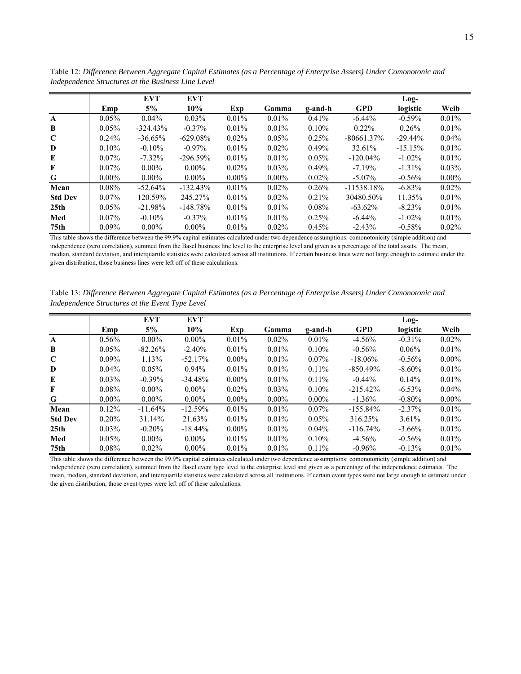|                  |          | <b>EVT</b> | <b>EVT</b>  |          |          |          |               | $Log-$    |          |
|------------------|----------|------------|-------------|----------|----------|----------|---------------|-----------|----------|
|                  | Emp      | 5%         | 10%         | Exp      | Gamma    | g-and-h  | <b>GPD</b>    | logistic  | Weib     |
| $\mathbf{A}$     | 0.05%    | $0.04\%$   | 0.03%       | 0.01%    | $0.01\%$ | 0.41%    | $-6.44%$      | $-0.59%$  | 0.01%    |
| B                | $0.05\%$ | $-324.43%$ | $-0.37\%$   | $0.01\%$ | $0.01\%$ | $0.10\%$ | $0.22\%$      | 0.26%     | 0.01%    |
| C                | $0.24\%$ | $-36.65%$  | $-629.08\%$ | $0.02\%$ | $0.05\%$ | 0.25%    | $-80661.37\%$ | $-29.44%$ | $0.04\%$ |
| D                | $0.10\%$ | $-0.10%$   | $-0.97\%$   | $0.01\%$ | $0.02\%$ | 0.49%    | 32.61%        | $-15.15%$ | $0.01\%$ |
| E                | $0.07\%$ | $-7.32\%$  | $-296.59\%$ | $0.01\%$ | $0.01\%$ | 0.05%    | $-120.04\%$   | $-1.02\%$ | $0.01\%$ |
| F                | $0.07\%$ | $0.00\%$   | $0.00\%$    | $0.02\%$ | $0.03\%$ | $0.49\%$ | $-7.19%$      | $-1.31\%$ | $0.03\%$ |
| G                | $0.00\%$ | $0.00\%$   | $0.00\%$    | $0.00\%$ | $0.00\%$ | $0.02\%$ | $-5.07\%$     | $-0.56%$  | $0.00\%$ |
| Mean             | $0.08\%$ | $-52.64%$  | $-132.43\%$ | $0.01\%$ | $0.02\%$ | $0.26\%$ | $-11538.18\%$ | $-6.83%$  | $0.02\%$ |
| <b>Std Dev</b>   | $0.07\%$ | 120.59%    | 245.27%     | $0.01\%$ | $0.02\%$ | $0.21\%$ | 30480.50%     | 11.35%    | $0.01\%$ |
| 25 <sub>th</sub> | $0.05\%$ | $-21.98%$  | $-148.78\%$ | $0.01\%$ | $0.01\%$ | $0.08\%$ | $-63.62\%$    | $-8.23%$  | $0.01\%$ |
| Med              | $0.07\%$ | $-0.10\%$  | $-0.37\%$   | $0.01\%$ | $0.01\%$ | 0.25%    | $-6.44\%$     | $-1.02\%$ | $0.01\%$ |
| 75th             | $0.09\%$ | $0.00\%$   | $0.00\%$    | $0.01\%$ | $0.02\%$ | 0.45%    | $-2.43%$      | $-0.58%$  | $0.02\%$ |

Table 12: *Difference Between Aggregate Capital Estimates (as a Percentage of Enterprise Assets) Under Comonotonic and Independence Structures at the Business Line Level*

This table shows the difference between the 99.9% capital estimates calculated under two dependence assumptions: comonotonicity (simple addition) and independence (zero correlation), summed from the Basel business line level to the enterprise level and given as a percentage of the total assets. The mean, median, standard deviation, and interquartile statistics were calculated across all institutions. If certain business lines were not large enough to estimate under the given distribution, those business lines were left off of these calculations.

Table 13: *Difference Between Aggregate Capital Estimates (as a Percentage of Enterprise Assets) Under Comonotonic and Independence Structures at the Event Type Level*

|                  |          | <b>EVT</b> | <b>EVT</b> |          |          |          |             | Log-      |          |
|------------------|----------|------------|------------|----------|----------|----------|-------------|-----------|----------|
|                  | Emp      | 5%         | 10%        | Exp      | Gamma    | g-and-h  | <b>GPD</b>  | logistic  | Weib     |
| $\mathbf{A}$     | $0.56\%$ | $0.00\%$   | $0.00\%$   | $0.01\%$ | $0.02\%$ | $0.01\%$ | $-4.56%$    | $-0.31%$  | 0.02%    |
| B                | $0.05\%$ | $-82.26%$  | $-2.40%$   | $0.01\%$ | $0.01\%$ | $0.10\%$ | $-0.56%$    | $0.06\%$  | 0.01%    |
| $\mathbf C$      | $0.09\%$ | 1.13%      | $-52.17%$  | $0.00\%$ | $0.01\%$ | $0.07\%$ | $-18.06\%$  | $-0.56%$  | $0.00\%$ |
| D                | $0.04\%$ | $0.05\%$   | $0.94\%$   | $0.01\%$ | 0.01%    | $0.11\%$ | $-850.49\%$ | $-8.60\%$ | $0.01\%$ |
| E                | $0.03\%$ | $-0.39%$   | $-34.48%$  | $0.00\%$ | $0.01\%$ | $0.11\%$ | $-0.44\%$   | $0.14\%$  | $0.01\%$ |
| F                | $0.08\%$ | $0.00\%$   | $0.00\%$   | $0.02\%$ | $0.03\%$ | 0.10%    | $-215.42\%$ | $-6.53\%$ | $0.04\%$ |
| G                | $0.00\%$ | $0.00\%$   | $0.00\%$   | $0.00\%$ | $0.00\%$ | $0.00\%$ | $-1.36\%$   | $-0.80\%$ | $0.00\%$ |
| Mean             | 0.12%    | $-11.64\%$ | $-12.59%$  | $0.01\%$ | 0.01%    | $0.07\%$ | $-155.84\%$ | $-2.37%$  | 0.01%    |
| <b>Std Dev</b>   | $0.20\%$ | 31.14%     | 21.63%     | $0.01\%$ | $0.01\%$ | $0.05\%$ | 316.25%     | $3.61\%$  | $0.01\%$ |
| 25 <sub>th</sub> | $0.03\%$ | $-0.20%$   | $-18.44%$  | $0.00\%$ | $0.01\%$ | $0.04\%$ | $-116.74%$  | $-3.66%$  | $0.01\%$ |
| Med              | $0.05\%$ | $0.00\%$   | $0.00\%$   | $0.01\%$ | $0.01\%$ | $0.10\%$ | $-4.56%$    | $-0.56%$  | $0.01\%$ |
| 75th             | $0.08\%$ | $0.02\%$   | $0.00\%$   | 0.01%    | $0.01\%$ | $0.11\%$ | $-0.96%$    | $-0.13%$  | 0.01%    |

This table shows the difference between the 99.9% capital estimates calculated under two dependence assumptions: comonotonicity (simple addition) and independence (zero correlation), summed from the Basel event type level to the enterprise level and given as a percentage of the independence estimates. The mean, median, standard deviation, and interquartile statistics were calculated across all institutions. If certain event types were not large enough to estimate under the given distribution, those event types were left off of these calculations.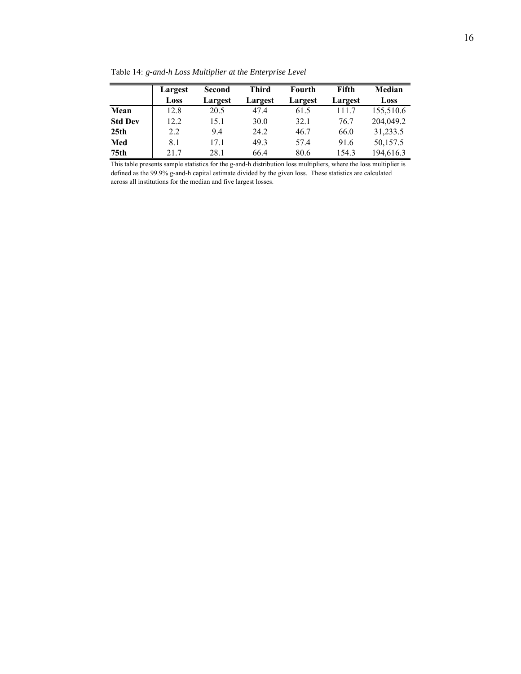|                  | Largest | <b>Second</b> | <b>Third</b> | Fourth  | Fifth   | Median    |
|------------------|---------|---------------|--------------|---------|---------|-----------|
|                  | Loss    | Largest       | Largest      | Largest | Largest | Loss      |
| Mean             | 12.8    | 20.5          | 47.4         | 61.5    | 111.7   | 155,510.6 |
| <b>Std Dev</b>   | 12.2    | 15.1          | 30.0         | 32.1    | 76.7    | 204,049.2 |
| 25 <sub>th</sub> | 2.2     | 9.4           | 24.2         | 46.7    | 66.0    | 31,233.5  |
| Med              | 8.1     | 17.1          | 49.3         | 57.4    | 91.6    | 50,157.5  |
| 75th             | 21.7    | 28.1          | 66.4         | 80.6    | 154.3   | 194,616.3 |

Table 14: *g-and-h Loss Multiplier at the Enterprise Level*

This table presents sample statistics for the g-and-h distribution loss multipliers, where the loss multiplier is defined as the 99.9% g-and-h capital estimate divided by the given loss. These statistics are calculated across all institutions for the median and five largest losses.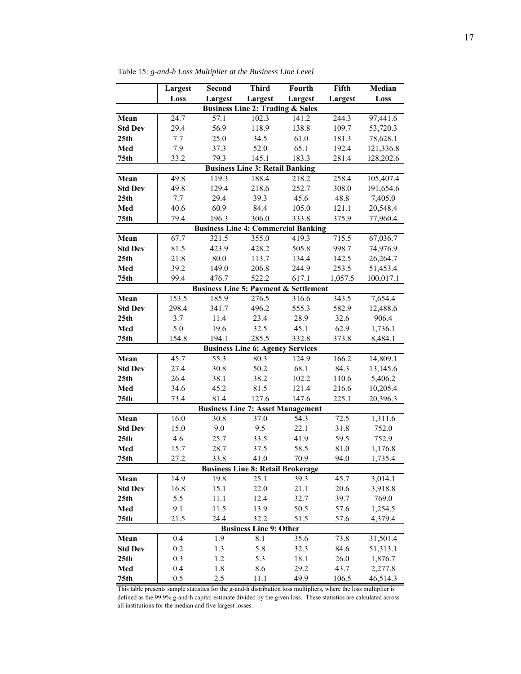|                  | Largest | Second  | <b>Third</b>                                | Fourth                                           | Fifth   | <b>Median</b> |
|------------------|---------|---------|---------------------------------------------|--------------------------------------------------|---------|---------------|
|                  | Loss    | Largest | Largest                                     | Largest                                          | Largest | Loss          |
|                  |         |         | <b>Business Line 2: Trading &amp; Sales</b> |                                                  |         |               |
| Mean             | 24.7    | 57.1    | 102.3                                       | 141.2                                            | 244.3   | 97,441.6      |
| <b>Std Dev</b>   | 29.4    | 56.9    | 118.9                                       | 138.8                                            | 109.7   | 53,720.3      |
| 25 <sub>th</sub> | 7.7     | 25.0    | 34.5                                        | 61.0                                             | 181.3   | 78,628.1      |
| Med              | 7.9     | 37.3    | 52.0                                        | 65.1                                             | 192.4   | 121,336.8     |
| 75 <sub>th</sub> | 33.2    | 79.3    | 145.1                                       | 183.3                                            | 281.4   | 128,202.6     |
|                  |         |         | <b>Business Line 3: Retail Banking</b>      |                                                  |         |               |
| Mean             | 49.8    | 119.3   | 188.4                                       | 218.2                                            | 258.4   | 105,407.4     |
| <b>Std Dev</b>   | 49.8    | 129.4   | 218.6                                       | 252.7                                            | 308.0   | 191,654.6     |
| 25 <sub>th</sub> | 7.7     | 29.4    | 39.3                                        | 45.6                                             | 48.8    | 7,405.0       |
| Med              | 40.6    | 60.9    | 84.4                                        | 105.0                                            | 121.1   | 20,548.4      |
| 75 <sub>th</sub> | 79.4    | 196.3   | 306.0                                       | 333.8                                            | 375.9   | 77,960.4      |
|                  |         |         |                                             | <b>Business Line 4: Commercial Banking</b>       |         |               |
| Mean             | 67.7    | 321.5   | 355.0                                       | 419.3                                            | 715.5   | 67,036.7      |
| <b>Std Dev</b>   | 81.5    | 423.9   | 428.2                                       | 505.8                                            | 998.7   | 74,976.9      |
| 25th             | 21.8    | 80.0    | 113.7                                       | 134.4                                            | 142.5   | 26,264.7      |
| Med              | 39.2    | 149.0   | 206.8                                       | 244.9                                            | 253.5   | 51,453.4      |
| 75 <sub>th</sub> | 99.4    | 476.7   | 522.2                                       | 617.1                                            | 1,057.5 | 100,017.1     |
|                  |         |         |                                             | <b>Business Line 5: Payment &amp; Settlement</b> |         |               |
| Mean             | 153.5   | 185.9   | 276.5                                       | 316.6                                            | 343.5   | 7,654.4       |
| <b>Std Dev</b>   | 298.4   | 341.7   | 496.2                                       | 555.3                                            | 582.9   | 12,488.6      |
| 25 <sub>th</sub> | 3.7     | 11.4    | 23.4                                        | 28.9                                             | 32.6    | 906.4         |
| Med              | 5.0     | 19.6    | 32.5                                        | 45.1                                             | 62.9    | 1,736.1       |
| 75 <sub>th</sub> | 154.8   | 194.1   | 285.5                                       | 332.8                                            | 373.8   | 8,484.1       |
|                  |         |         | <b>Business Line 6: Agency Services</b>     |                                                  |         |               |
| Mean             | 45.7    | 55.3    | 80.3                                        | 124.9                                            | 166.2   | 14,809.1      |
| <b>Std Dev</b>   | 27.4    | 30.8    | 50.2                                        | 68.1                                             | 84.3    | 13,145.6      |
| 25th             | 26.4    | 38.1    | 38.2                                        | 102.2                                            | 110.6   | 5,406.2       |
| Med              | 34.6    | 45.2    | 81.5                                        | 121.4                                            | 216.6   | 10,205.4      |
| 75 <sub>th</sub> | 73.4    | 81.4    | 127.6                                       | 147.6                                            | 225.1   | 20,396.3      |
|                  |         |         |                                             | <b>Business Line 7: Asset Management</b>         |         |               |
| Mean             | 16.0    | 30.8    | 37.0                                        | 54.3                                             | 72.5    | 1,311.6       |
| <b>Std Dev</b>   | 15.0    | 9.0     | 9.5                                         | 22.1                                             | 31.8    | 752.0         |
| 25 <sub>th</sub> | 4.6     | 25.7    | 33.5                                        | 41.9                                             | 59.5    | 752.9         |
| Med              | 15.7    | 28.7    | 37.5                                        | 58.5                                             | 81.0    | 1,176.8       |
| 75 <sub>th</sub> | 27.2    | 33.8    | 41.0                                        | 70.9                                             | 94.0    | 1,735.4       |
|                  |         |         | <b>Business Line 8: Retail Brokerage</b>    |                                                  |         |               |
| Mean             | 14.9    | 19.8    | 25.1                                        | 39.3                                             | 45.7    | 3,014.1       |
| <b>Std Dev</b>   | 16.8    | 15.1    | 22.0                                        | 21.1                                             | 20.6    | 3,918.8       |
| 25th             | 5.5     | 11.1    | 12.4                                        | 32.7                                             | 39.7    | 769.0         |
| Med              | 9.1     | 11.5    | 13.9                                        | 50.5                                             | 57.6    | 1,254.5       |
| 75 <sub>th</sub> | 21.5    | 24.4    | 32.2                                        | 51.5                                             | 57.6    | 4,379.4       |
|                  |         |         | <b>Business Line 9: Other</b>               |                                                  |         |               |
| Mean             | 0.4     | 1.9     | 8.1                                         | 35.6                                             | 73.8    | 31,501.4      |
| <b>Std Dev</b>   | 0.2     | 1.3     | 5.8                                         | 32.3                                             | 84.6    | 51,313.1      |
| 25th             | 0.3     | 1.2     | 5.3                                         | 18.1                                             | 26.0    | 1,876.7       |
| Med              | 0.4     | 1.8     | 8.6                                         | 29.2                                             | 43.7    | 2,277.8       |
| 75 <sub>th</sub> | 0.5     | 2.5     | 11.1                                        | 49.9                                             | 106.5   | 46,514.3      |

Table 15: *g-and-h Loss Multiplier at the Business Line Level*

This table presents sample statistics for the g-and-h distribution loss multipliers, where the loss multiplier is defined as the 99.9% g-and-h capital estimate divided by the given loss. These statistics are calculated across all institutions for the median and five largest losses.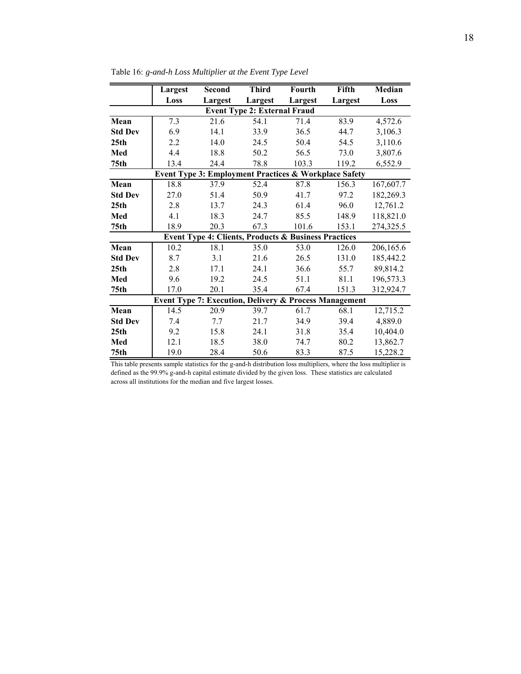|                  | Largest | <b>Second</b> | <b>Third</b>                        | Fourth                                                            | Fifth   | <b>Median</b> |
|------------------|---------|---------------|-------------------------------------|-------------------------------------------------------------------|---------|---------------|
|                  | Loss    | Largest       | Largest                             | Largest                                                           | Largest | Loss          |
|                  |         |               | <b>Event Type 2: External Fraud</b> |                                                                   |         |               |
| Mean             | 7.3     | 21.6          | 54.1                                | 71.4                                                              | 83.9    | 4,572.6       |
| <b>Std Dev</b>   | 6.9     | 14.1          | 33.9                                | 36.5                                                              | 44.7    | 3,106.3       |
| 25 <sub>th</sub> | 2.2     | 14.0          | 24.5                                | 50.4                                                              | 54.5    | 3,110.6       |
| Med              | 4.4     | 18.8          | 50.2                                | 56.5                                                              | 73.0    | 3,807.6       |
| 75 <sub>th</sub> | 13.4    | 24.4          | 78.8                                | 103.3                                                             | 119.2   | 6,552.9       |
|                  |         |               |                                     | Event Type 3: Employment Practices & Workplace Safety             |         |               |
| Mean             | 18.8    | 37.9          | 52.4                                | 87.8                                                              | 156.3   | 167,607.7     |
| <b>Std Dev</b>   | 27.0    | 51.4          | 50.9                                | 41.7                                                              | 97.2    | 182,269.3     |
| 25 <sub>th</sub> | 2.8     | 13.7          | 24.3                                | 61.4                                                              | 96.0    | 12,761.2      |
| Med              | 4.1     | 18.3          | 24.7                                | 85.5                                                              | 148.9   | 118,821.0     |
| 75th             | 18.9    | 20.3          | 67.3                                | 101.6                                                             | 153.1   | 274,325.5     |
|                  |         |               |                                     | <b>Event Type 4: Clients, Products &amp; Business Practices</b>   |         |               |
| Mean             | 10.2    | 18.1          | 35.0                                | 53.0                                                              | 126.0   | 206,165.6     |
| <b>Std Dev</b>   | 8.7     | 3.1           | 21.6                                | 26.5                                                              | 131.0   | 185,442.2     |
| 25 <sub>th</sub> | 2.8     | 17.1          | 24.1                                | 36.6                                                              | 55.7    | 89,814.2      |
| Med              | 9.6     | 19.2          | 24.5                                | 51.1                                                              | 81.1    | 196,573.3     |
| 75 <sub>th</sub> | 17.0    | 20.1          | 35.4                                | 67.4                                                              | 151.3   | 312,924.7     |
|                  |         |               |                                     | <b>Event Type 7: Execution, Delivery &amp; Process Management</b> |         |               |
| Mean             | 14.5    | 20.9          | 39.7                                | 61.7                                                              | 68.1    | 12,715.2      |
| <b>Std Dev</b>   | 7.4     | 7.7           | 21.7                                | 34.9                                                              | 39.4    | 4,889.0       |
| 25 <sub>th</sub> | 9.2     | 15.8          | 24.1                                | 31.8                                                              | 35.4    | 10,404.0      |
| Med              | 12.1    | 18.5          | 38.0                                | 74.7                                                              | 80.2    | 13,862.7      |
| 75th             | 19.0    | 28.4          | 50.6                                | 83.3                                                              | 87.5    | 15,228.2      |

Table 16: *g-and-h Loss Multiplier at the Event Type Level*

This table presents sample statistics for the g-and-h distribution loss multipliers, where the loss multiplier is defined as the 99.9% g-and-h capital estimate divided by the given loss. These statistics are calculated across all institutions for the median and five largest losses.